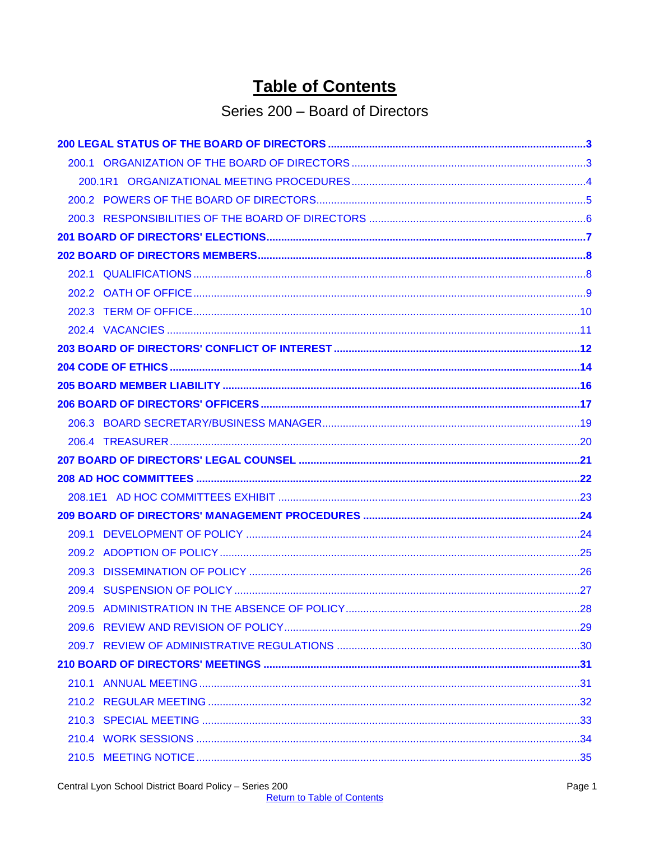# **Table of Contents**

## Series 200 - Board of Directors

<span id="page-0-0"></span>

| 210.1 |  |
|-------|--|
|       |  |
|       |  |
|       |  |
|       |  |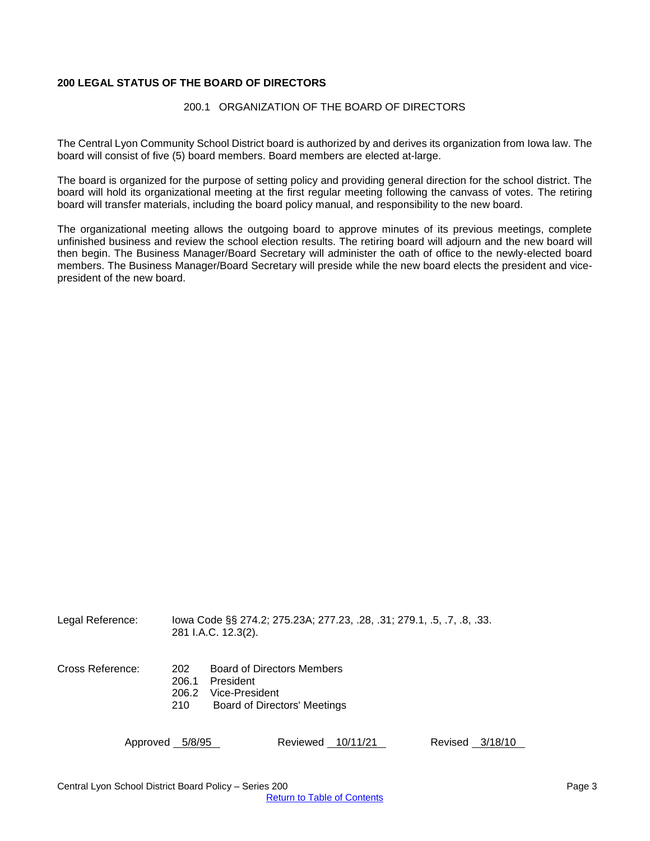## <span id="page-2-1"></span><span id="page-2-0"></span>**200 LEGAL STATUS OF THE BOARD OF DIRECTORS**

#### 200.1 ORGANIZATION OF THE BOARD OF DIRECTORS

The Central Lyon Community School District board is authorized by and derives its organization from Iowa law. The board will consist of five (5) board members. Board members are elected at-large.

The board is organized for the purpose of setting policy and providing general direction for the school district. The board will hold its organizational meeting at the first regular meeting following the canvass of votes. The retiring board will transfer materials, including the board policy manual, and responsibility to the new board.

The organizational meeting allows the outgoing board to approve minutes of its previous meetings, complete unfinished business and review the school election results. The retiring board will adjourn and the new board will then begin. The Business Manager/Board Secretary will administer the oath of office to the newly-elected board members. The Business Manager/Board Secretary will preside while the new board elects the president and vicepresident of the new board.

| Legal Reference: |                              | lowa Code §§ 274.2; 275.23A; 277.23, .28, .31; 279.1, .5, .7, .8, .33.<br>281 I.A.C. 12.3(2).           |                   |                    |
|------------------|------------------------------|---------------------------------------------------------------------------------------------------------|-------------------|--------------------|
| Cross Reference: | 202<br>206.1<br>206.2<br>210 | <b>Board of Directors Members</b><br>President<br>Vice-President<br><b>Board of Directors' Meetings</b> |                   |                    |
|                  | Approved 5/8/95              |                                                                                                         | Reviewed 10/11/21 | Revised<br>3/18/10 |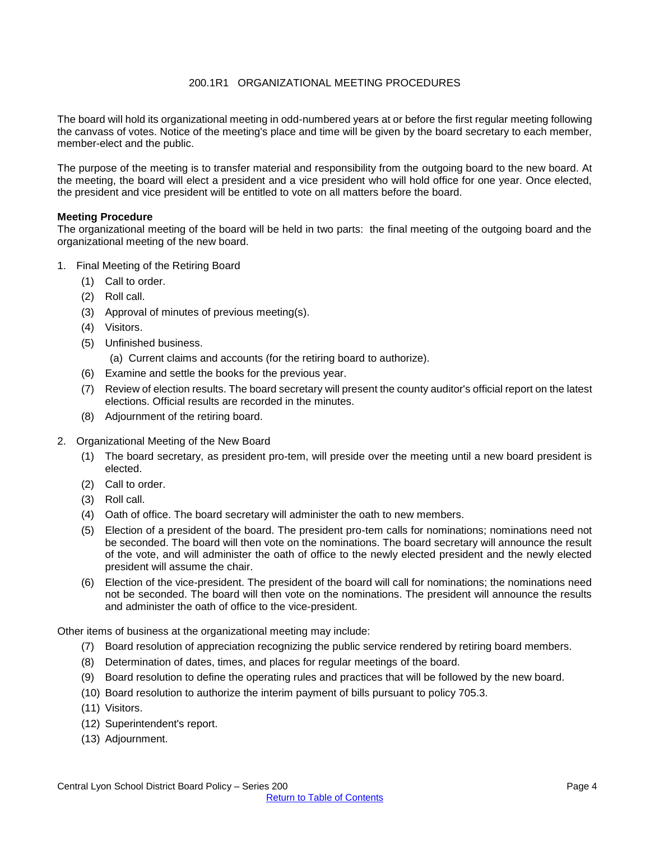## 200.1R1 ORGANIZATIONAL MEETING PROCEDURES

<span id="page-3-0"></span>The board will hold its organizational meeting in odd-numbered years at or before the first regular meeting following the canvass of votes. Notice of the meeting's place and time will be given by the board secretary to each member, member-elect and the public.

The purpose of the meeting is to transfer material and responsibility from the outgoing board to the new board. At the meeting, the board will elect a president and a vice president who will hold office for one year. Once elected, the president and vice president will be entitled to vote on all matters before the board.

#### **Meeting Procedure**

The organizational meeting of the board will be held in two parts: the final meeting of the outgoing board and the organizational meeting of the new board.

- 1. Final Meeting of the Retiring Board
	- (1) Call to order.
	- (2) Roll call.
	- (3) Approval of minutes of previous meeting(s).
	- (4) Visitors.
	- (5) Unfinished business.

(a) Current claims and accounts (for the retiring board to authorize).

- (6) Examine and settle the books for the previous year.
- (7) Review of election results. The board secretary will present the county auditor's official report on the latest elections. Official results are recorded in the minutes.
- (8) Adjournment of the retiring board.
- 2. Organizational Meeting of the New Board
	- (1) The board secretary, as president pro-tem, will preside over the meeting until a new board president is elected.
	- (2) Call to order.
	- (3) Roll call.
	- (4) Oath of office. The board secretary will administer the oath to new members.
	- (5) Election of a president of the board. The president pro-tem calls for nominations; nominations need not be seconded. The board will then vote on the nominations. The board secretary will announce the result of the vote, and will administer the oath of office to the newly elected president and the newly elected president will assume the chair.
	- (6) Election of the vice-president. The president of the board will call for nominations; the nominations need not be seconded. The board will then vote on the nominations. The president will announce the results and administer the oath of office to the vice-president.

Other items of business at the organizational meeting may include:

- (7) Board resolution of appreciation recognizing the public service rendered by retiring board members.
- (8) Determination of dates, times, and places for regular meetings of the board.
- (9) Board resolution to define the operating rules and practices that will be followed by the new board.
- (10) Board resolution to authorize the interim payment of bills pursuant to policy 705.3.
- (11) Visitors.
- (12) Superintendent's report.
- (13) Adjournment.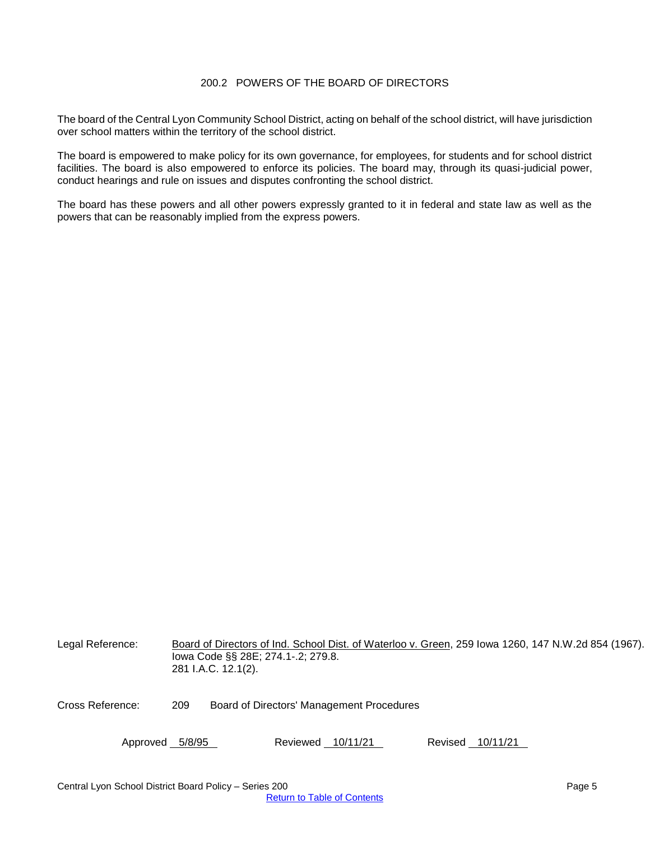## 200.2 POWERS OF THE BOARD OF DIRECTORS

<span id="page-4-0"></span>The board of the Central Lyon Community School District, acting on behalf of the school district, will have jurisdiction over school matters within the territory of the school district.

The board is empowered to make policy for its own governance, for employees, for students and for school district facilities. The board is also empowered to enforce its policies. The board may, through its quasi-judicial power, conduct hearings and rule on issues and disputes confronting the school district.

The board has these powers and all other powers expressly granted to it in federal and state law as well as the powers that can be reasonably implied from the express powers.

| Legal Reference: | Board of Directors of Ind. School Dist. of Waterloo v. Green, 259 Iowa 1260, 147 N.W.2d 854 (1967).<br>lowa Code §§ 28E; 274.1-.2; 279.8.<br>281 I.A.C. 12.1(2). |                                           |                  |  |  |
|------------------|------------------------------------------------------------------------------------------------------------------------------------------------------------------|-------------------------------------------|------------------|--|--|
| Cross Reference: | 209                                                                                                                                                              | Board of Directors' Management Procedures |                  |  |  |
| Approved 5/8/95  |                                                                                                                                                                  | Reviewed 10/11/21                         | Revised 10/11/21 |  |  |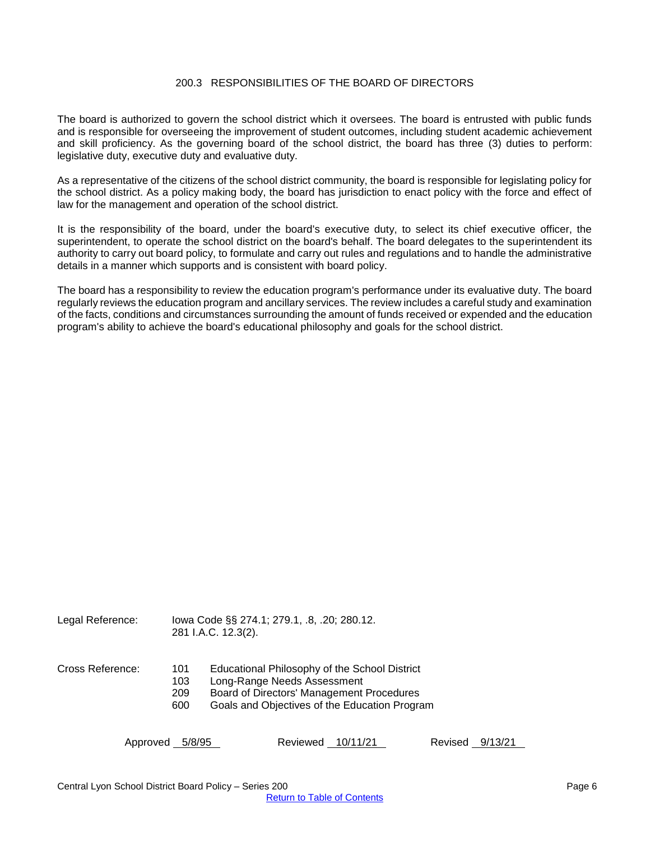#### 200.3 RESPONSIBILITIES OF THE BOARD OF DIRECTORS

<span id="page-5-0"></span>The board is authorized to govern the school district which it oversees. The board is entrusted with public funds and is responsible for overseeing the improvement of student outcomes, including student academic achievement and skill proficiency. As the governing board of the school district, the board has three (3) duties to perform: legislative duty, executive duty and evaluative duty.

As a representative of the citizens of the school district community, the board is responsible for legislating policy for the school district. As a policy making body, the board has jurisdiction to enact policy with the force and effect of law for the management and operation of the school district.

It is the responsibility of the board, under the board's executive duty, to select its chief executive officer, the superintendent, to operate the school district on the board's behalf. The board delegates to the superintendent its authority to carry out board policy, to formulate and carry out rules and regulations and to handle the administrative details in a manner which supports and is consistent with board policy.

The board has a responsibility to review the education program's performance under its evaluative duty. The board regularly reviews the education program and ancillary services. The review includes a careful study and examination of the facts, conditions and circumstances surrounding the amount of funds received or expended and the education program's ability to achieve the board's educational philosophy and goals for the school district.

| Legal Reference: |                          | lowa Code §§ 274.1; 279.1, .8, .20; 280.12.<br>281 I.A.C. 12.3(2).                                                                                                         |
|------------------|--------------------------|----------------------------------------------------------------------------------------------------------------------------------------------------------------------------|
| Cross Reference: | 101<br>103<br>209<br>600 | Educational Philosophy of the School District<br>Long-Range Needs Assessment<br>Board of Directors' Management Procedures<br>Goals and Objectives of the Education Program |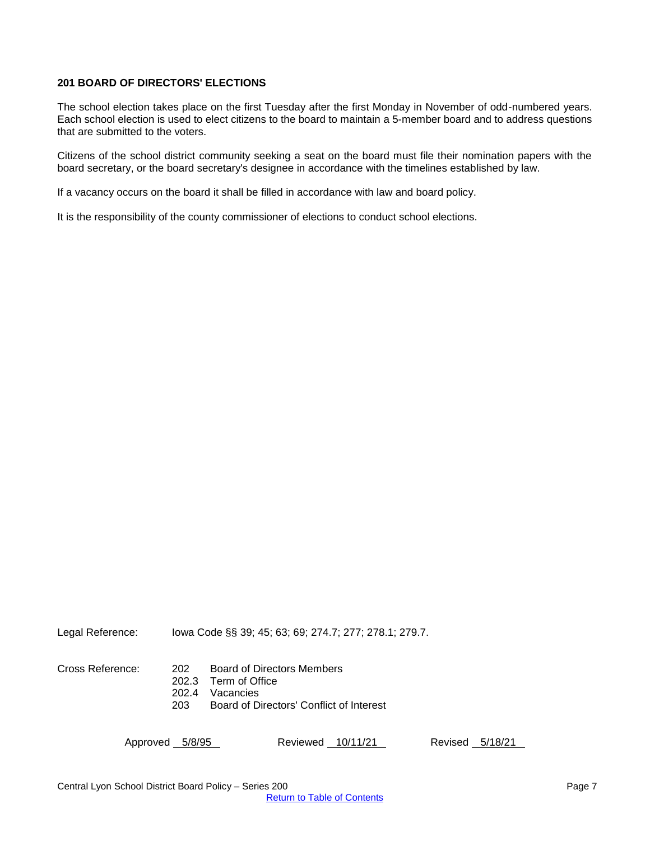## <span id="page-6-0"></span>**201 BOARD OF DIRECTORS' ELECTIONS**

The school election takes place on the first Tuesday after the first Monday in November of odd-numbered years. Each school election is used to elect citizens to the board to maintain a 5-member board and to address questions that are submitted to the voters.

Citizens of the school district community seeking a seat on the board must file their nomination papers with the board secretary, or the board secretary's designee in accordance with the timelines established by law.

If a vacancy occurs on the board it shall be filled in accordance with law and board policy.

It is the responsibility of the county commissioner of elections to conduct school elections.

Legal Reference: Iowa Code §§ 39; 45; 63; 69; 274.7; 277; 278.1; 279.7.

Cross Reference: 202 Board of Directors Members

202.3 Term of Office

202.4 Vacancies<br>203 Board of D

203 Board of Directors' Conflict of Interest

| Approved 5/8/95 | Reviewed 10/11/21 | Revised 5/18/21 |
|-----------------|-------------------|-----------------|
|-----------------|-------------------|-----------------|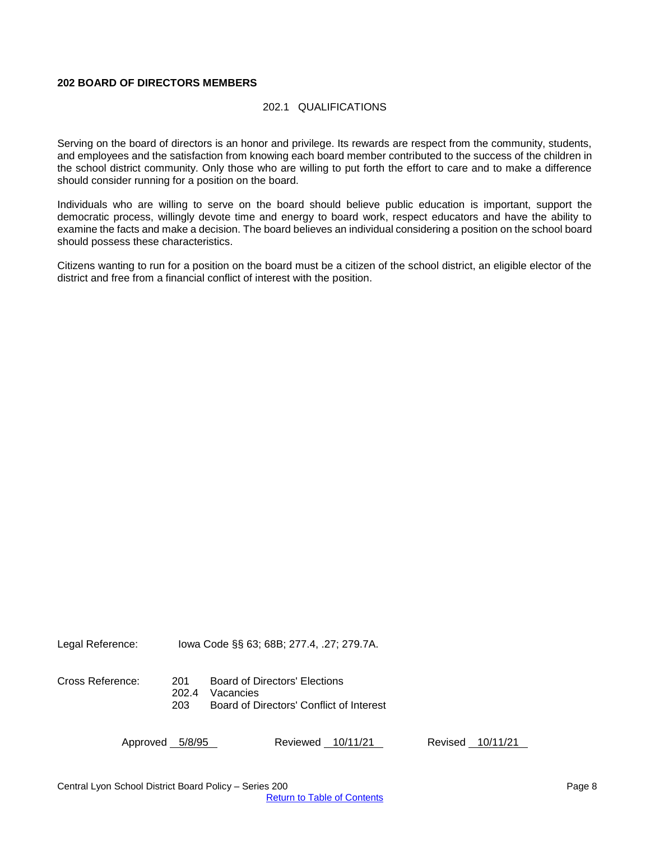#### <span id="page-7-1"></span><span id="page-7-0"></span>**202 BOARD OF DIRECTORS MEMBERS**

#### 202.1 QUALIFICATIONS

Serving on the board of directors is an honor and privilege. Its rewards are respect from the community, students, and employees and the satisfaction from knowing each board member contributed to the success of the children in the school district community. Only those who are willing to put forth the effort to care and to make a difference should consider running for a position on the board.

Individuals who are willing to serve on the board should believe public education is important, support the democratic process, willingly devote time and energy to board work, respect educators and have the ability to examine the facts and make a decision. The board believes an individual considering a position on the school board should possess these characteristics.

Citizens wanting to run for a position on the board must be a citizen of the school district, an eligible elector of the district and free from a financial conflict of interest with the position.

Legal Reference: Iowa Code §§ 63; 68B; 277.4, .27; 279.7A.

Cross Reference: 201 Board of Directors' Elections 202.4 Vacancies<br>203 Board of D 203 Board of Directors' Conflict of Interest

| Approved 5/8/95 | Reviewed 10/11/21 | Revised 10/11/21 |
|-----------------|-------------------|------------------|
|                 |                   |                  |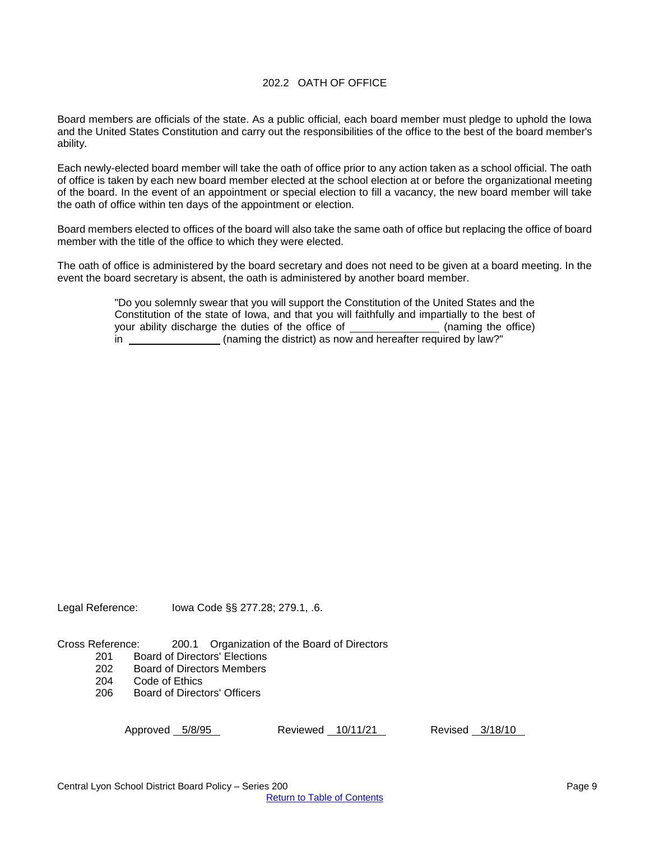#### 202.2 OATH OF OFFICE

<span id="page-8-0"></span>Board members are officials of the state. As a public official, each board member must pledge to uphold the Iowa and the United States Constitution and carry out the responsibilities of the office to the best of the board member's ability.

Each newly-elected board member will take the oath of office prior to any action taken as a school official. The oath of office is taken by each new board member elected at the school election at or before the organizational meeting of the board. In the event of an appointment or special election to fill a vacancy, the new board member will take the oath of office within ten days of the appointment or election.

Board members elected to offices of the board will also take the same oath of office but replacing the office of board member with the title of the office to which they were elected.

The oath of office is administered by the board secretary and does not need to be given at a board meeting. In the event the board secretary is absent, the oath is administered by another board member.

> "Do you solemnly swear that you will support the Constitution of the United States and the Constitution of the state of Iowa, and that you will faithfully and impartially to the best of your ability discharge the duties of the office of (naming the office) in (naming the district) as now and hereafter required by law?"

Legal Reference: Iowa Code §§ 277.28; 279.1, .6.

Cross Reference: 200.1 Organization of the Board of Directors

- 201 Board of Directors' Elections
- 202 Board of Directors Members
- 204 Code of Ethics
- 206 Board of Directors' Officers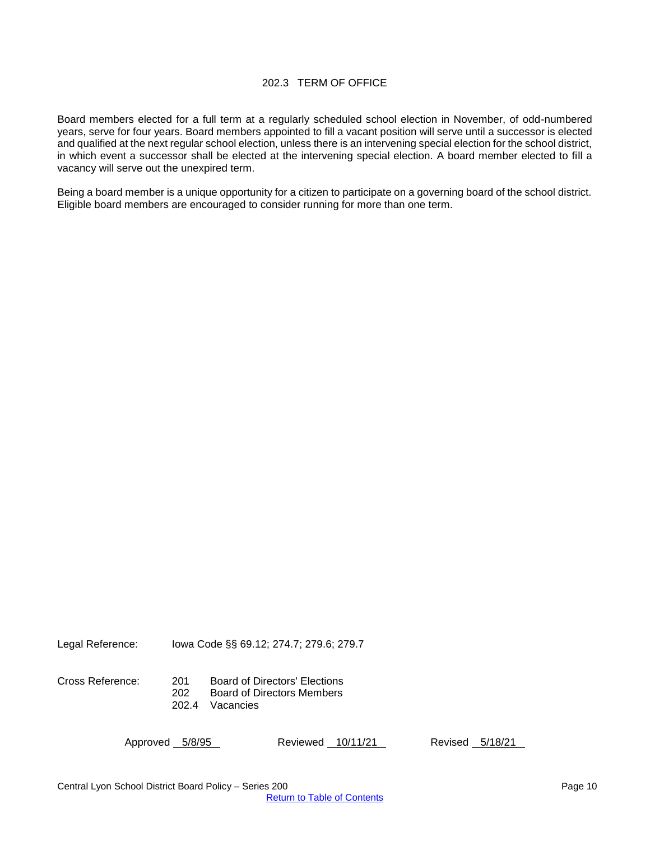## 202.3 TERM OF OFFICE

<span id="page-9-0"></span>Board members elected for a full term at a regularly scheduled school election in November, of odd-numbered years, serve for four years. Board members appointed to fill a vacant position will serve until a successor is elected and qualified at the next regular school election, unless there is an intervening special election for the school district, in which event a successor shall be elected at the intervening special election. A board member elected to fill a vacancy will serve out the unexpired term.

Being a board member is a unique opportunity for a citizen to participate on a governing board of the school district. Eligible board members are encouraged to consider running for more than one term.

Legal Reference: Iowa Code §§ 69.12; 274.7; 279.6; 279.7

Cross Reference: 201 Board of Directors' Elections Board of Directors Members 202.4 Vacancies

| Approved 5/8/95 |  | Reviewed 10/11/21 |  | Revised 5/18/21 |  |
|-----------------|--|-------------------|--|-----------------|--|
|-----------------|--|-------------------|--|-----------------|--|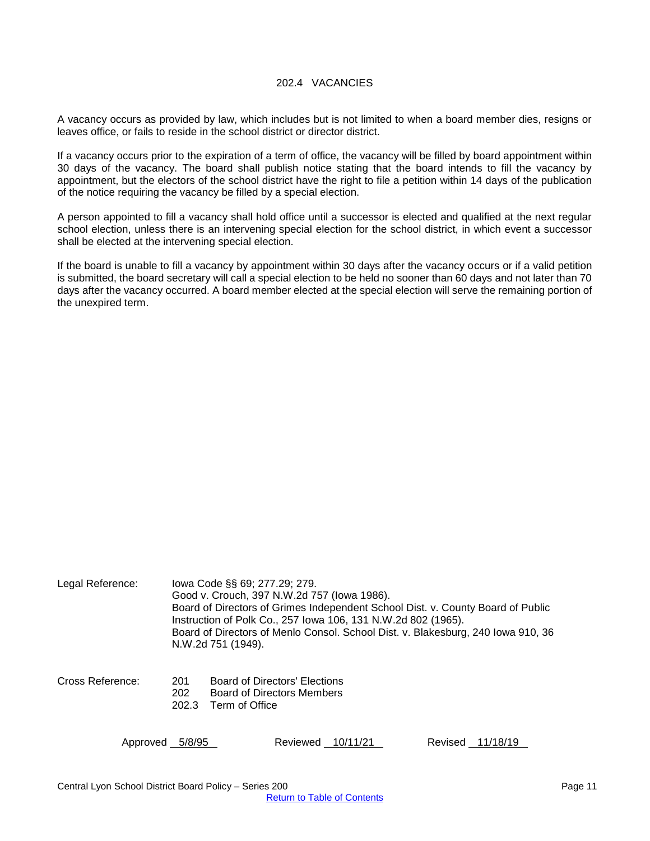#### 202.4 VACANCIES

<span id="page-10-0"></span>A vacancy occurs as provided by law, which includes but is not limited to when a board member dies, resigns or leaves office, or fails to reside in the school district or director district.

If a vacancy occurs prior to the expiration of a term of office, the vacancy will be filled by board appointment within 30 days of the vacancy. The board shall publish notice stating that the board intends to fill the vacancy by appointment, but the electors of the school district have the right to file a petition within 14 days of the publication of the notice requiring the vacancy be filled by a special election.

A person appointed to fill a vacancy shall hold office until a successor is elected and qualified at the next regular school election, unless there is an intervening special election for the school district, in which event a successor shall be elected at the intervening special election.

If the board is unable to fill a vacancy by appointment within 30 days after the vacancy occurs or if a valid petition is submitted, the board secretary will call a special election to be held no sooner than 60 days and not later than 70 days after the vacancy occurred. A board member elected at the special election will serve the remaining portion of the unexpired term.

| Legal Reference: | lowa Code §§ 69; 277.29; 279.<br>Good v. Crouch, 397 N.W.2d 757 (lowa 1986).<br>Board of Directors of Grimes Independent School Dist. v. County Board of Public<br>Instruction of Polk Co., 257 Iowa 106, 131 N.W.2d 802 (1965).<br>Board of Directors of Menlo Consol. School Dist. v. Blakesburg, 240 Iowa 910, 36<br>N.W.2d 751 (1949). |
|------------------|--------------------------------------------------------------------------------------------------------------------------------------------------------------------------------------------------------------------------------------------------------------------------------------------------------------------------------------------|
| Cross Reference: | Board of Directors' Elections<br>201<br>202<br><b>Board of Directors Members</b><br>202.3<br>Term of Office                                                                                                                                                                                                                                |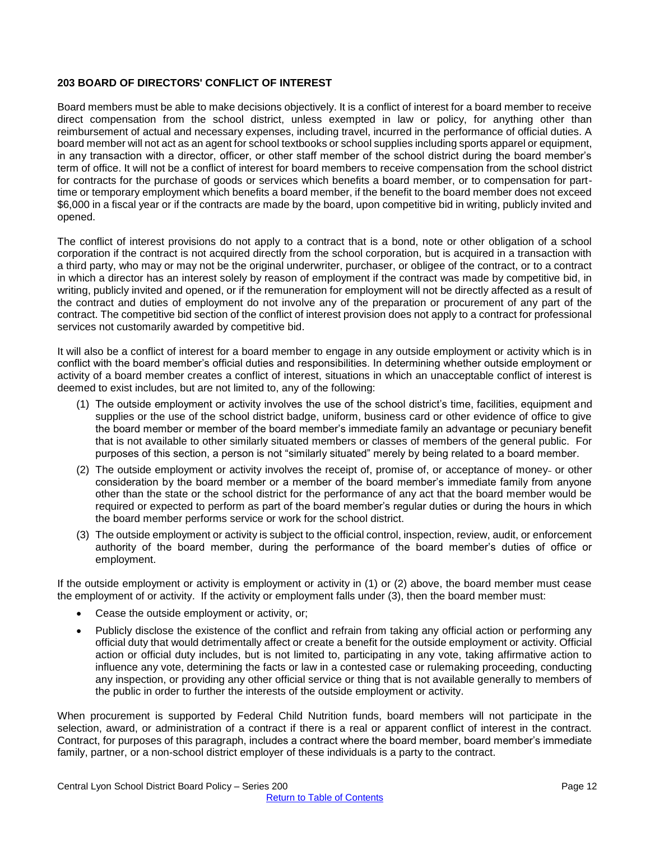#### <span id="page-11-0"></span>**203 BOARD OF DIRECTORS' CONFLICT OF INTEREST**

Board members must be able to make decisions objectively. It is a conflict of interest for a board member to receive direct compensation from the school district, unless exempted in law or policy, for anything other than reimbursement of actual and necessary expenses, including travel, incurred in the performance of official duties. A board member will not act as an agent for school textbooks or school supplies including sports apparel or equipment, in any transaction with a director, officer, or other staff member of the school district during the board member's term of office. It will not be a conflict of interest for board members to receive compensation from the school district for contracts for the purchase of goods or services which benefits a board member, or to compensation for parttime or temporary employment which benefits a board member, if the benefit to the board member does not exceed \$6,000 in a fiscal year or if the contracts are made by the board, upon competitive bid in writing, publicly invited and opened.

The conflict of interest provisions do not apply to a contract that is a bond, note or other obligation of a school corporation if the contract is not acquired directly from the school corporation, but is acquired in a transaction with a third party, who may or may not be the original underwriter, purchaser, or obligee of the contract, or to a contract in which a director has an interest solely by reason of employment if the contract was made by competitive bid, in writing, publicly invited and opened, or if the remuneration for employment will not be directly affected as a result of the contract and duties of employment do not involve any of the preparation or procurement of any part of the contract. The competitive bid section of the conflict of interest provision does not apply to a contract for professional services not customarily awarded by competitive bid.

It will also be a conflict of interest for a board member to engage in any outside employment or activity which is in conflict with the board member's official duties and responsibilities. In determining whether outside employment or activity of a board member creates a conflict of interest, situations in which an unacceptable conflict of interest is deemed to exist includes, but are not limited to, any of the following:

- (1) The outside employment or activity involves the use of the school district's time, facilities, equipment and supplies or the use of the school district badge, uniform, business card or other evidence of office to give the board member or member of the board member's immediate family an advantage or pecuniary benefit that is not available to other similarly situated members or classes of members of the general public. For purposes of this section, a person is not "similarly situated" merely by being related to a board member.
- (2) The outside employment or activity involves the receipt of, promise of, or acceptance of money- or other consideration by the board member or a member of the board member's immediate family from anyone other than the state or the school district for the performance of any act that the board member would be required or expected to perform as part of the board member's regular duties or during the hours in which the board member performs service or work for the school district.
- (3) The outside employment or activity is subject to the official control, inspection, review, audit, or enforcement authority of the board member, during the performance of the board member's duties of office or employment.

If the outside employment or activity is employment or activity in (1) or (2) above, the board member must cease the employment of or activity. If the activity or employment falls under (3), then the board member must:

- Cease the outside employment or activity, or;
- Publicly disclose the existence of the conflict and refrain from taking any official action or performing any official duty that would detrimentally affect or create a benefit for the outside employment or activity. Official action or official duty includes, but is not limited to, participating in any vote, taking affirmative action to influence any vote, determining the facts or law in a contested case or rulemaking proceeding, conducting any inspection, or providing any other official service or thing that is not available generally to members of the public in order to further the interests of the outside employment or activity.

When procurement is supported by Federal Child Nutrition funds, board members will not participate in the selection, award, or administration of a contract if there is a real or apparent conflict of interest in the contract. Contract, for purposes of this paragraph, includes a contract where the board member, board member's immediate family, partner, or a non-school district employer of these individuals is a party to the contract.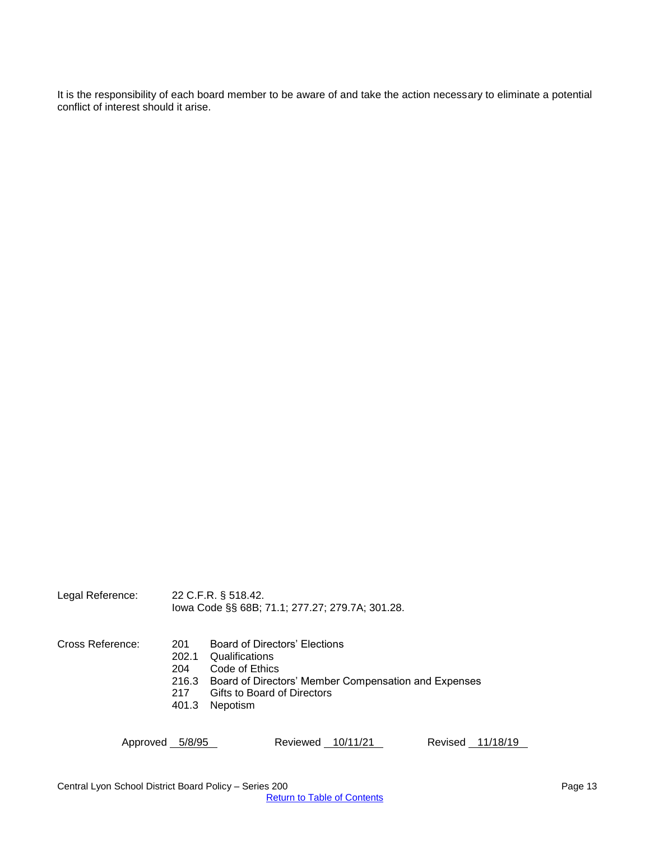It is the responsibility of each board member to be aware of and take the action necessary to eliminate a potential conflict of interest should it arise.

Legal Reference: 22 C.F.R. § 518.42. Iowa Code §§ 68B; 71.1; 277.27; 279.7A; 301.28.

- Cross Reference: 201 Board of Directors' Elections
	- 202.1 Qualifications<br>204 Code of Ethics
	- Code of Ethics
	- 216.3 Board of Directors' Member Compensation and Expenses<br>217 Gifts to Board of Directors
	- Gifts to Board of Directors
	- 401.3 Nepotism

| Approved 5/8/95 |  | Reviewed 10/11/21 |  |  | Revised 11/18/19 |
|-----------------|--|-------------------|--|--|------------------|
|-----------------|--|-------------------|--|--|------------------|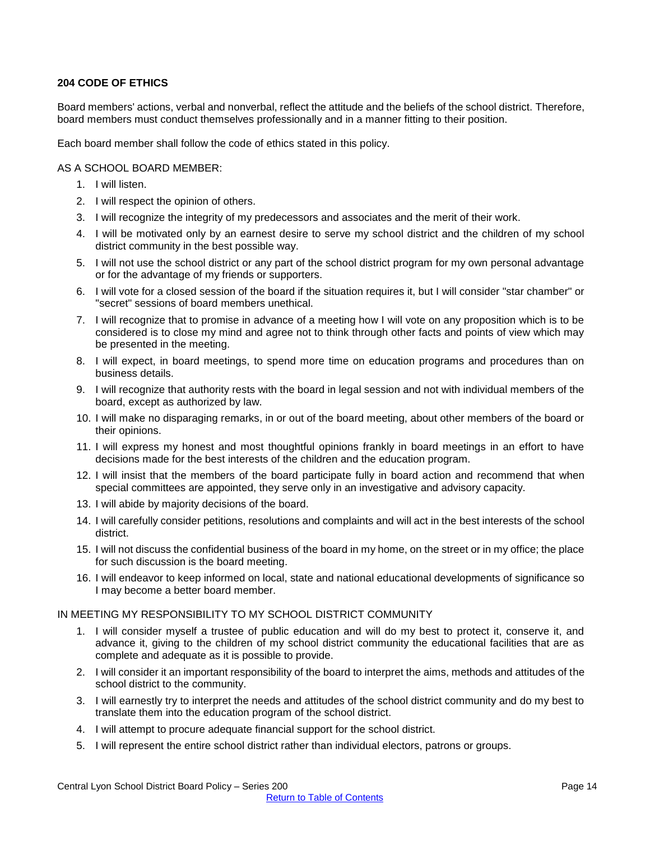#### <span id="page-13-0"></span>**204 CODE OF ETHICS**

Board members' actions, verbal and nonverbal, reflect the attitude and the beliefs of the school district. Therefore, board members must conduct themselves professionally and in a manner fitting to their position.

Each board member shall follow the code of ethics stated in this policy.

#### AS A SCHOOL BOARD MEMBER:

- 1. I will listen.
- 2. I will respect the opinion of others.
- 3. I will recognize the integrity of my predecessors and associates and the merit of their work.
- 4. I will be motivated only by an earnest desire to serve my school district and the children of my school district community in the best possible way.
- 5. I will not use the school district or any part of the school district program for my own personal advantage or for the advantage of my friends or supporters.
- 6. I will vote for a closed session of the board if the situation requires it, but I will consider "star chamber" or "secret" sessions of board members unethical.
- 7. I will recognize that to promise in advance of a meeting how I will vote on any proposition which is to be considered is to close my mind and agree not to think through other facts and points of view which may be presented in the meeting.
- 8. I will expect, in board meetings, to spend more time on education programs and procedures than on business details.
- 9. I will recognize that authority rests with the board in legal session and not with individual members of the board, except as authorized by law.
- 10. I will make no disparaging remarks, in or out of the board meeting, about other members of the board or their opinions.
- 11. I will express my honest and most thoughtful opinions frankly in board meetings in an effort to have decisions made for the best interests of the children and the education program.
- 12. I will insist that the members of the board participate fully in board action and recommend that when special committees are appointed, they serve only in an investigative and advisory capacity.
- 13. I will abide by majority decisions of the board.
- 14. I will carefully consider petitions, resolutions and complaints and will act in the best interests of the school district.
- 15. I will not discuss the confidential business of the board in my home, on the street or in my office; the place for such discussion is the board meeting.
- 16. I will endeavor to keep informed on local, state and national educational developments of significance so I may become a better board member.

#### IN MEETING MY RESPONSIBILITY TO MY SCHOOL DISTRICT COMMUNITY

- 1. I will consider myself a trustee of public education and will do my best to protect it, conserve it, and advance it, giving to the children of my school district community the educational facilities that are as complete and adequate as it is possible to provide.
- 2. I will consider it an important responsibility of the board to interpret the aims, methods and attitudes of the school district to the community.
- 3. I will earnestly try to interpret the needs and attitudes of the school district community and do my best to translate them into the education program of the school district.
- 4. I will attempt to procure adequate financial support for the school district.
- 5. I will represent the entire school district rather than individual electors, patrons or groups.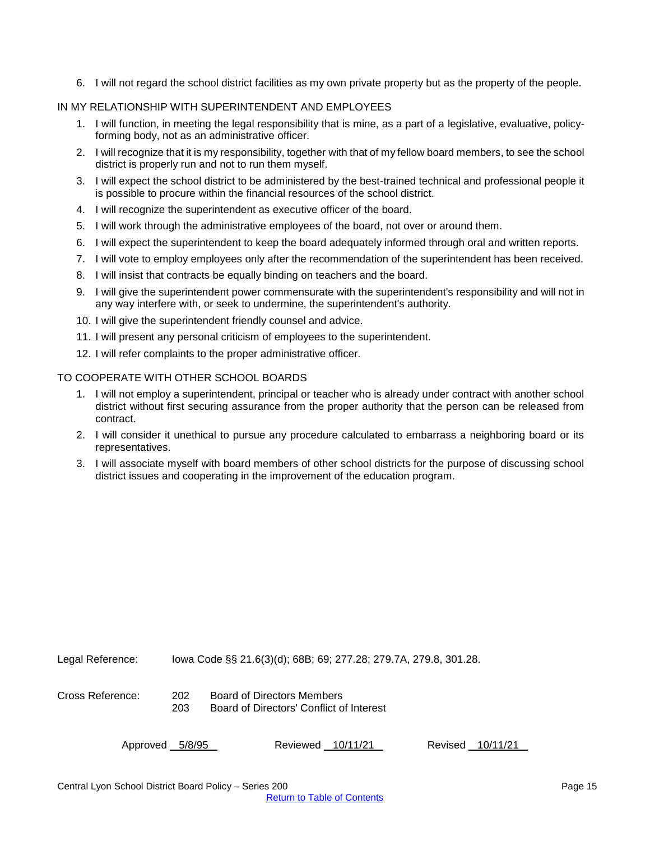6. I will not regard the school district facilities as my own private property but as the property of the people.

#### IN MY RELATIONSHIP WITH SUPERINTENDENT AND EMPLOYEES

- 1. I will function, in meeting the legal responsibility that is mine, as a part of a legislative, evaluative, policyforming body, not as an administrative officer.
- 2. I will recognize that it is my responsibility, together with that of my fellow board members, to see the school district is properly run and not to run them myself.
- 3. I will expect the school district to be administered by the best-trained technical and professional people it is possible to procure within the financial resources of the school district.
- 4. I will recognize the superintendent as executive officer of the board.
- 5. I will work through the administrative employees of the board, not over or around them.
- 6. I will expect the superintendent to keep the board adequately informed through oral and written reports.
- 7. I will vote to employ employees only after the recommendation of the superintendent has been received.
- 8. I will insist that contracts be equally binding on teachers and the board.
- 9. I will give the superintendent power commensurate with the superintendent's responsibility and will not in any way interfere with, or seek to undermine, the superintendent's authority.
- 10. I will give the superintendent friendly counsel and advice.
- 11. I will present any personal criticism of employees to the superintendent.
- 12. I will refer complaints to the proper administrative officer.

#### TO COOPERATE WITH OTHER SCHOOL BOARDS

- 1. I will not employ a superintendent, principal or teacher who is already under contract with another school district without first securing assurance from the proper authority that the person can be released from contract.
- 2. I will consider it unethical to pursue any procedure calculated to embarrass a neighboring board or its representatives.
- 3. I will associate myself with board members of other school districts for the purpose of discussing school district issues and cooperating in the improvement of the education program.

Legal Reference: Iowa Code §§ 21.6(3)(d); 68B; 69; 277.28; 279.7A, 279.8, 301.28.

Cross Reference: 202 Board of Directors Members 203 Board of Directors' Conflict of Interest

| Approved 5/8/95 | Reviewed 10/11/21 |  | Revised 10/11/21 |
|-----------------|-------------------|--|------------------|
|                 |                   |  |                  |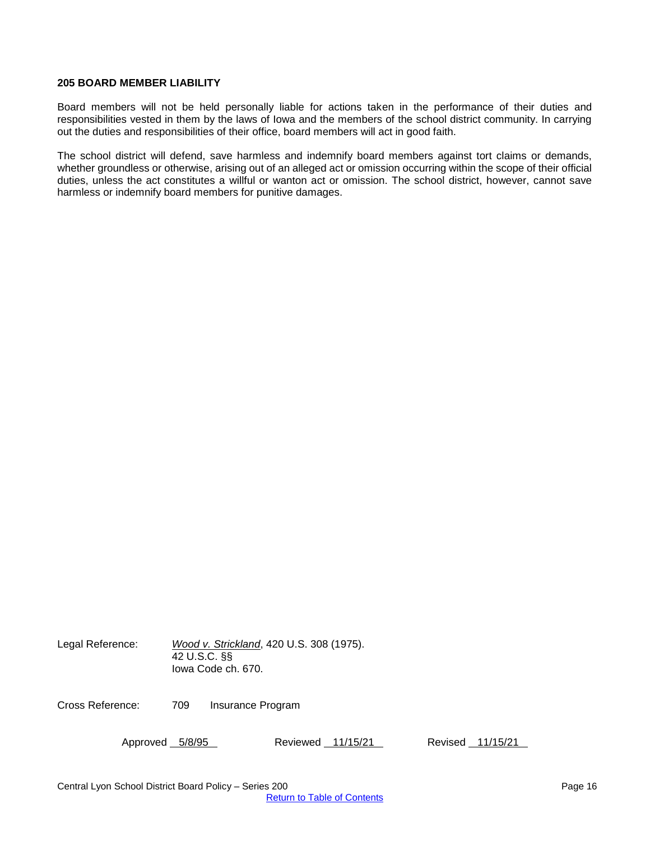#### <span id="page-15-0"></span>**205 BOARD MEMBER LIABILITY**

Board members will not be held personally liable for actions taken in the performance of their duties and responsibilities vested in them by the laws of Iowa and the members of the school district community. In carrying out the duties and responsibilities of their office, board members will act in good faith.

The school district will defend, save harmless and indemnify board members against tort claims or demands, whether groundless or otherwise, arising out of an alleged act or omission occurring within the scope of their official duties, unless the act constitutes a willful or wanton act or omission. The school district, however, cannot save harmless or indemnify board members for punitive damages.

Legal Reference: *Wood v. Strickland*, 420 U.S. 308 (1975). 42 U.S.C. §§ Iowa Code ch. 670.

Cross Reference: 709 Insurance Program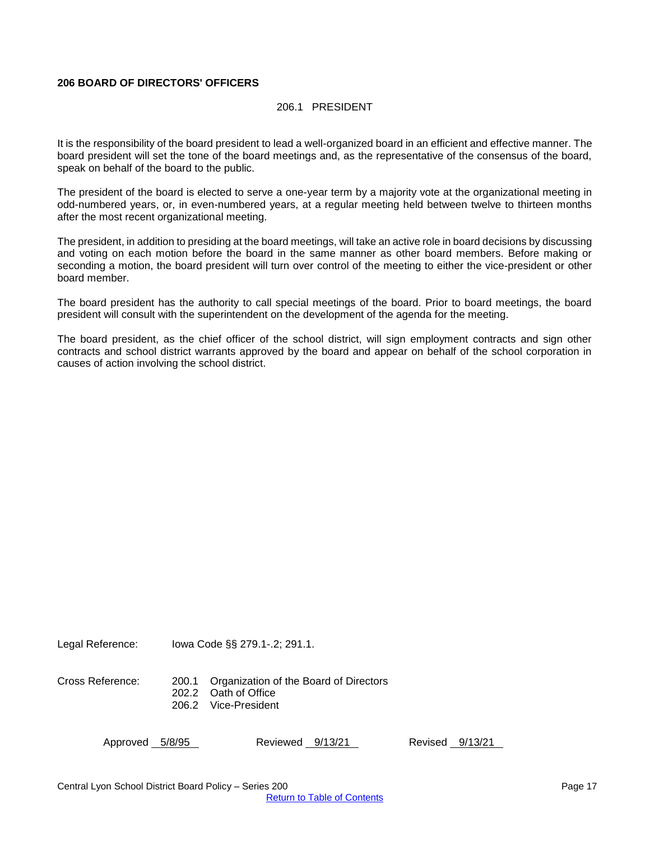#### <span id="page-16-0"></span>**206 BOARD OF DIRECTORS' OFFICERS**

#### 206.1 PRESIDENT

It is the responsibility of the board president to lead a well-organized board in an efficient and effective manner. The board president will set the tone of the board meetings and, as the representative of the consensus of the board, speak on behalf of the board to the public.

The president of the board is elected to serve a one-year term by a majority vote at the organizational meeting in odd-numbered years, or, in even-numbered years, at a regular meeting held between twelve to thirteen months after the most recent organizational meeting.

The president, in addition to presiding at the board meetings, will take an active role in board decisions by discussing and voting on each motion before the board in the same manner as other board members. Before making or seconding a motion, the board president will turn over control of the meeting to either the vice-president or other board member.

The board president has the authority to call special meetings of the board. Prior to board meetings, the board president will consult with the superintendent on the development of the agenda for the meeting.

The board president, as the chief officer of the school district, will sign employment contracts and sign other contracts and school district warrants approved by the board and appear on behalf of the school corporation in causes of action involving the school district.

Legal Reference: Iowa Code §§ 279.1-.2; 291.1.

Cross Reference: 200.1 Organization of the Board of Directors 202.2 Oath of Office 206.2 Vice-President

Approved 5/8/95 Reviewed 9/13/21 Revised 9/13/21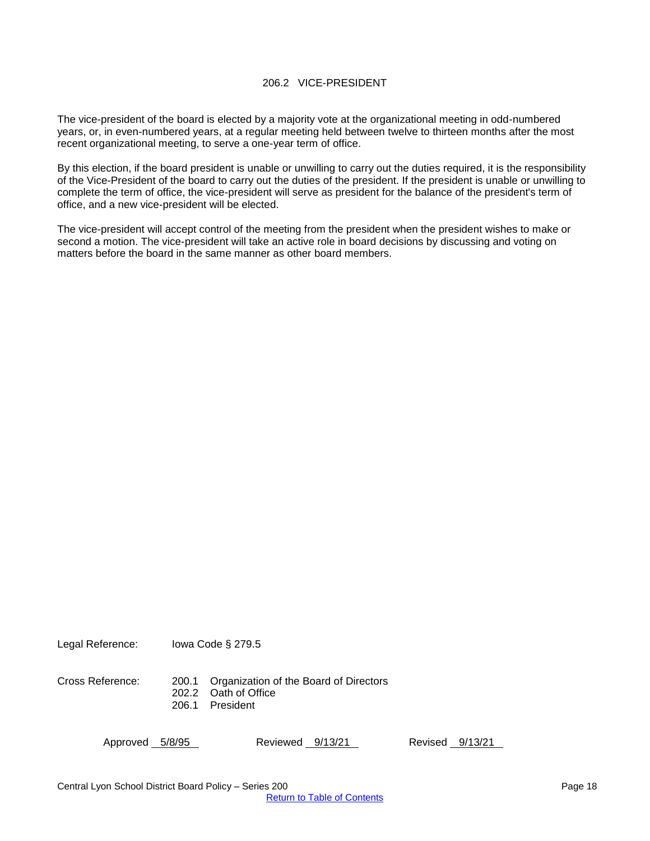The vice-president of the board is elected by a majority vote at the organizational meeting in odd-numbered years, or, in even-numbered years, at a regular meeting held between twelve to thirteen months after the most recent organizational meeting, to serve a one-year term of office.

By this election, if the board president is unable or unwilling to carry out the duties required, it is the responsibility of the Vice-President of the board to carry out the duties of the president. If the president is unable or unwilling to complete the term of office, the vice-president will serve as president for the balance of the president's term of office, and a new vice-president will be elected.

The vice-president will accept control of the meeting from the president when the president wishes to make or second a motion. The vice-president will take an active role in board decisions by discussing and voting on matters before the board in the same manner as other board members.

Legal Reference: Iowa Code § 279.5

Cross Reference: 200.1 Organization of the Board of Directors 202.2 Oath of Office 206.1 President

Approved 5/8/95 Reviewed 9/13/21 Revised 9/13/21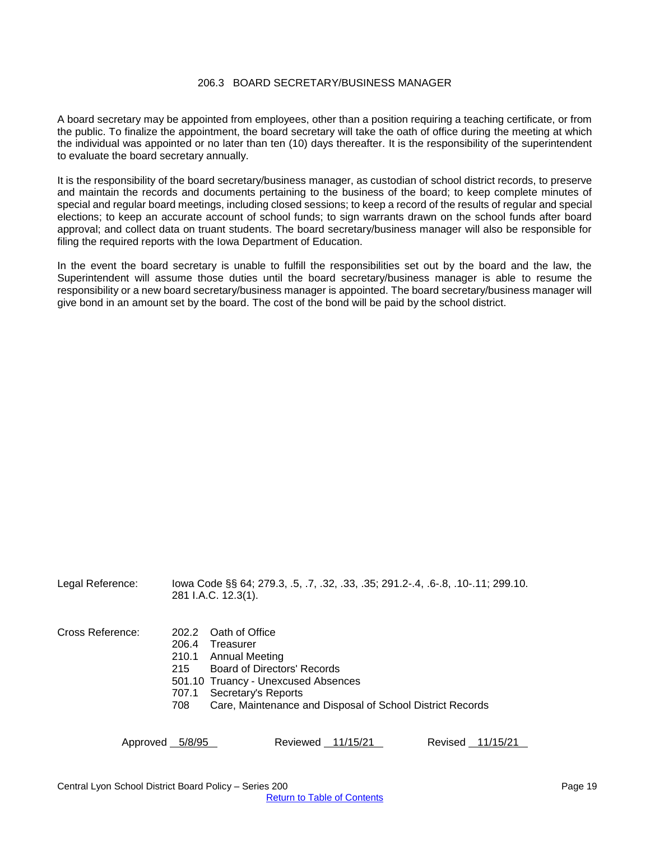#### 206.3 BOARD SECRETARY/BUSINESS MANAGER

<span id="page-18-0"></span>A board secretary may be appointed from employees, other than a position requiring a teaching certificate, or from the public. To finalize the appointment, the board secretary will take the oath of office during the meeting at which the individual was appointed or no later than ten (10) days thereafter*.* It is the responsibility of the superintendent to evaluate the board secretary annually.

It is the responsibility of the board secretary/business manager, as custodian of school district records, to preserve and maintain the records and documents pertaining to the business of the board; to keep complete minutes of special and regular board meetings, including closed sessions; to keep a record of the results of regular and special elections; to keep an accurate account of school funds; to sign warrants drawn on the school funds after board approval; and collect data on truant students. The board secretary/business manager will also be responsible for filing the required reports with the Iowa Department of Education.

In the event the board secretary is unable to fulfill the responsibilities set out by the board and the law, the Superintendent will assume those duties until the board secretary/business manager is able to resume the responsibility or a new board secretary/business manager is appointed. The board secretary/business manager will give bond in an amount set by the board. The cost of the bond will be paid by the school district.

Legal Reference: Iowa Code §§ 64; 279.3, .5, .7, .32, .33, .35; 291.2-.4, .6-.8, .10-.11; 299.10. 281 I.A.C. 12.3(1). Cross Reference: 202.2 Oath of Office 206.4 Treasurer 210.1 Annual Meeting 215 Board of Directors' Records 501.10 Truancy - Unexcused Absences

- 707.1 Secretary's Reports
- 708 Care, Maintenance and Disposal of School District Records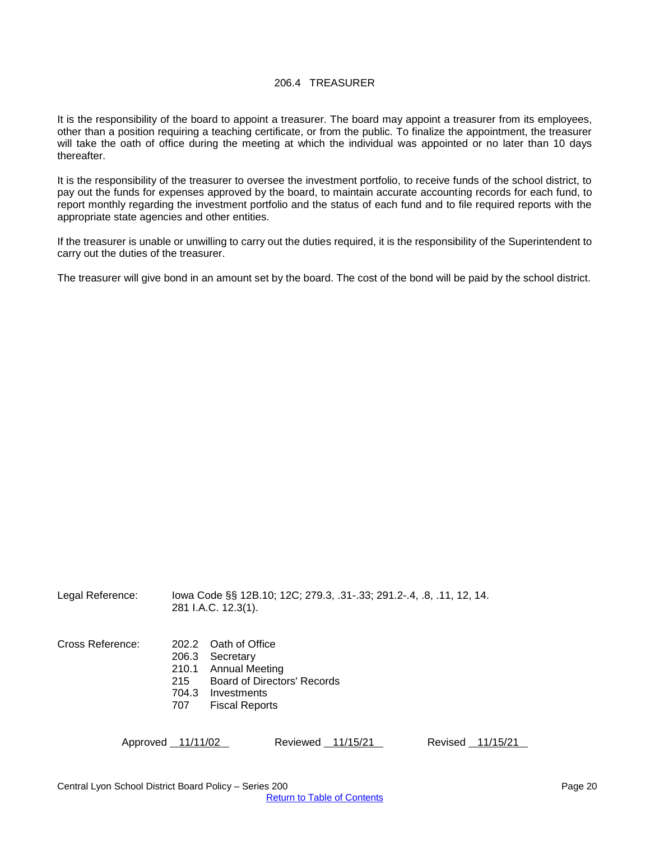#### 206.4 TREASURER

<span id="page-19-0"></span>It is the responsibility of the board to appoint a treasurer. The board may appoint a treasurer from its employees, other than a position requiring a teaching certificate, or from the public. To finalize the appointment, the treasurer will take the oath of office during the meeting at which the individual was appointed or no later than 10 days thereafter.

It is the responsibility of the treasurer to oversee the investment portfolio, to receive funds of the school district, to pay out the funds for expenses approved by the board, to maintain accurate accounting records for each fund, to report monthly regarding the investment portfolio and the status of each fund and to file required reports with the appropriate state agencies and other entities.

If the treasurer is unable or unwilling to carry out the duties required, it is the responsibility of the Superintendent to carry out the duties of the treasurer.

The treasurer will give bond in an amount set by the board. The cost of the bond will be paid by the school district.

Legal Reference: Iowa Code §§ 12B.10; 12C; 279.3, .31-.33; 291.2-.4, .8, .11, 12, 14. 281 I.A.C. 12.3(1).

- Cross Reference: 202.2 Oath of Office
	- 206.3 Secretary
	- 210.1 Annual Meeting
	- 215 Board of Directors' Records
	- 704.3 Investments
	- 707 Fiscal Reports

Approved 11/11/02 Reviewed 11/15/21 Revised 11/15/21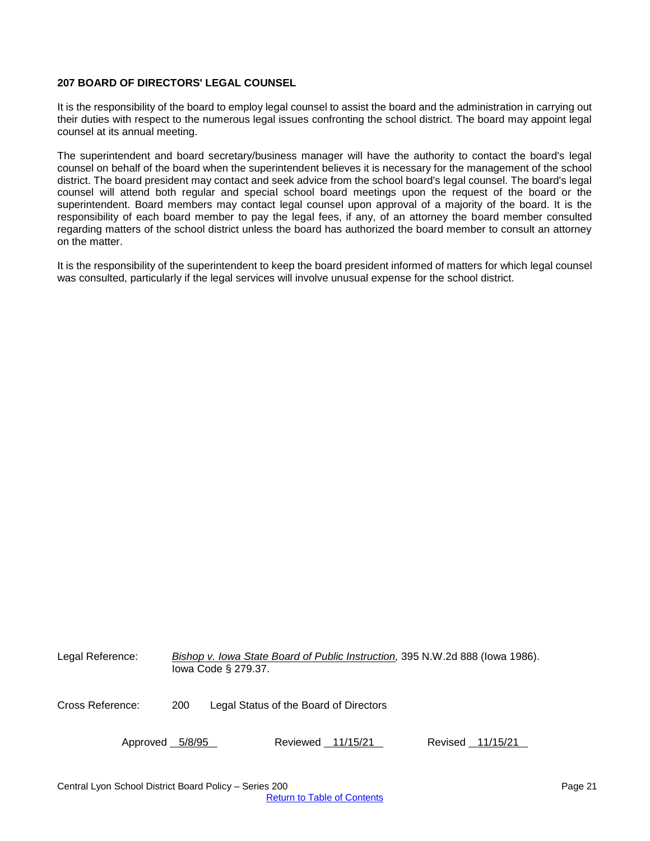#### <span id="page-20-0"></span>**207 BOARD OF DIRECTORS' LEGAL COUNSEL**

It is the responsibility of the board to employ legal counsel to assist the board and the administration in carrying out their duties with respect to the numerous legal issues confronting the school district. The board may appoint legal counsel at its annual meeting.

The superintendent and board secretary/business manager will have the authority to contact the board's legal counsel on behalf of the board when the superintendent believes it is necessary for the management of the school district. The board president may contact and seek advice from the school board's legal counsel. The board's legal counsel will attend both regular and special school board meetings upon the request of the board or the superintendent. Board members may contact legal counsel upon approval of a majority of the board. It is the responsibility of each board member to pay the legal fees, if any, of an attorney the board member consulted regarding matters of the school district unless the board has authorized the board member to consult an attorney on the matter.

It is the responsibility of the superintendent to keep the board president informed of matters for which legal counsel was consulted, particularly if the legal services will involve unusual expense for the school district.

| Legal Reference: |     | lowa Code § 279.37.                    |                   | Bishop v. Iowa State Board of Public Instruction, 395 N.W.2d 888 (lowa 1986). |                  |  |
|------------------|-----|----------------------------------------|-------------------|-------------------------------------------------------------------------------|------------------|--|
| Cross Reference: | 200 | Legal Status of the Board of Directors |                   |                                                                               |                  |  |
| Approved 5/8/95  |     |                                        | Reviewed 11/15/21 |                                                                               | Revised 11/15/21 |  |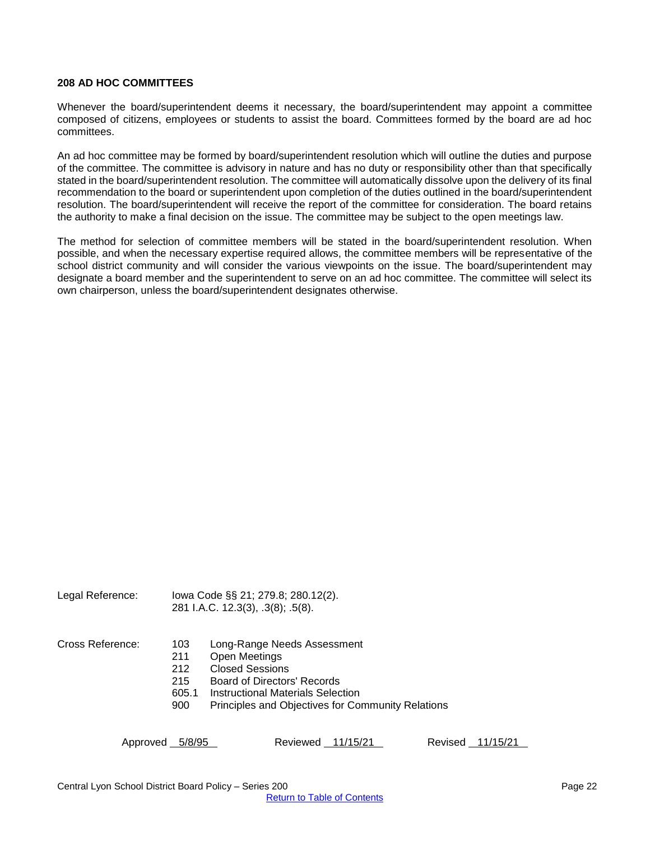#### <span id="page-21-0"></span>**208 AD HOC COMMITTEES**

Whenever the board/superintendent deems it necessary, the board/superintendent may appoint a committee composed of citizens, employees or students to assist the board. Committees formed by the board are ad hoc committees.

An ad hoc committee may be formed by board/superintendent resolution which will outline the duties and purpose of the committee. The committee is advisory in nature and has no duty or responsibility other than that specifically stated in the board/superintendent resolution. The committee will automatically dissolve upon the delivery of its final recommendation to the board or superintendent upon completion of the duties outlined in the board/superintendent resolution. The board/superintendent will receive the report of the committee for consideration. The board retains the authority to make a final decision on the issue. The committee may be subject to the open meetings law.

The method for selection of committee members will be stated in the board/superintendent resolution. When possible, and when the necessary expertise required allows, the committee members will be representative of the school district community and will consider the various viewpoints on the issue. The board/superintendent may designate a board member and the superintendent to serve on an ad hoc committee. The committee will select its own chairperson, unless the board/superintendent designates otherwise.

Legal Reference: Iowa Code §§ 21; 279.8; 280.12(2). 281 I.A.C. 12.3(3), .3(8); .5(8).

- Cross Reference: 103 Long-Range Needs Assessment
	- 211 Open Meetings
	- 212 Closed Sessions
	- 215 Board of Directors' Records
	- 605.1 Instructional Materials Selection
	- 900 Principles and Objectives for Community Relations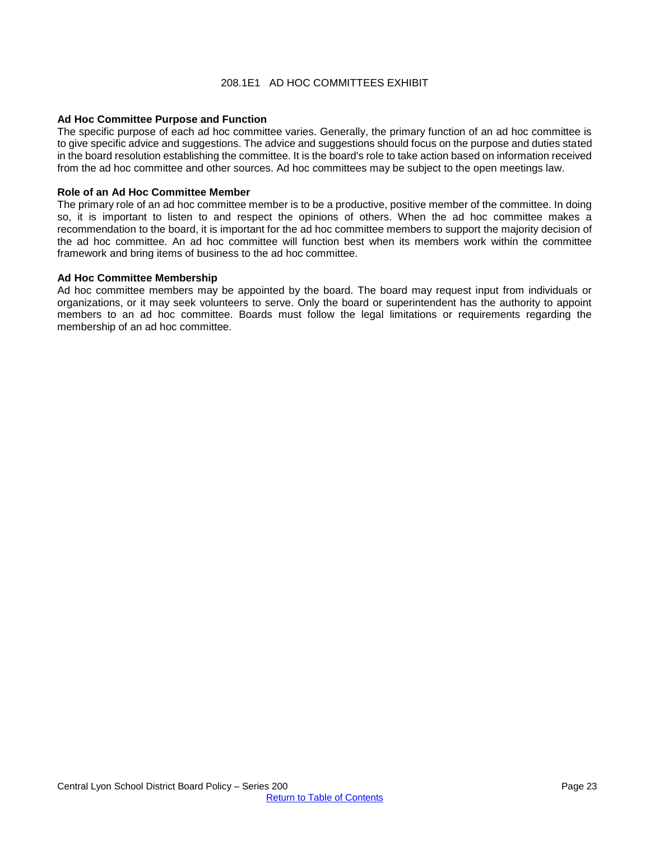#### 208.1E1 AD HOC COMMITTEES EXHIBIT

#### <span id="page-22-0"></span>**Ad Hoc Committee Purpose and Function**

The specific purpose of each ad hoc committee varies. Generally, the primary function of an ad hoc committee is to give specific advice and suggestions. The advice and suggestions should focus on the purpose and duties stated in the board resolution establishing the committee. It is the board's role to take action based on information received from the ad hoc committee and other sources. Ad hoc committees may be subject to the open meetings law.

#### **Role of an Ad Hoc Committee Member**

The primary role of an ad hoc committee member is to be a productive, positive member of the committee. In doing so, it is important to listen to and respect the opinions of others. When the ad hoc committee makes a recommendation to the board, it is important for the ad hoc committee members to support the majority decision of the ad hoc committee. An ad hoc committee will function best when its members work within the committee framework and bring items of business to the ad hoc committee.

#### **Ad Hoc Committee Membership**

Ad hoc committee members may be appointed by the board. The board may request input from individuals or organizations, or it may seek volunteers to serve. Only the board or superintendent has the authority to appoint members to an ad hoc committee. Boards must follow the legal limitations or requirements regarding the membership of an ad hoc committee.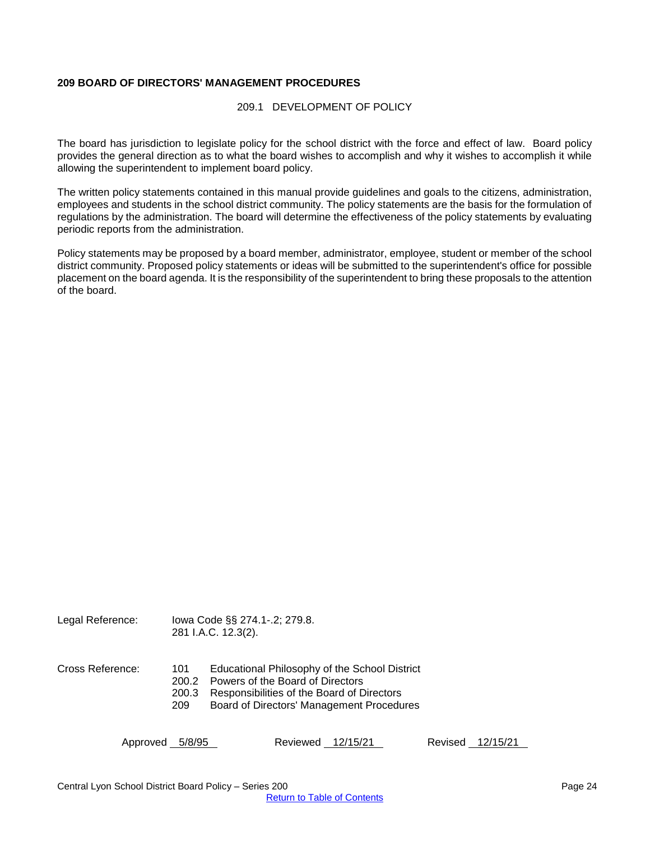#### <span id="page-23-1"></span><span id="page-23-0"></span>**209 BOARD OF DIRECTORS' MANAGEMENT PROCEDURES**

#### 209.1 DEVELOPMENT OF POLICY

The board has jurisdiction to legislate policy for the school district with the force and effect of law. Board policy provides the general direction as to what the board wishes to accomplish and why it wishes to accomplish it while allowing the superintendent to implement board policy.

The written policy statements contained in this manual provide guidelines and goals to the citizens, administration, employees and students in the school district community. The policy statements are the basis for the formulation of regulations by the administration. The board will determine the effectiveness of the policy statements by evaluating periodic reports from the administration.

Policy statements may be proposed by a board member, administrator, employee, student or member of the school district community. Proposed policy statements or ideas will be submitted to the superintendent's office for possible placement on the board agenda. It is the responsibility of the superintendent to bring these proposals to the attention of the board.

Legal Reference: Iowa Code §§ 274.1-.2; 279.8. 281 I.A.C. 12.3(2).

- Cross Reference: 101 Educational Philosophy of the School District
	- 200.2 Powers of the Board of Directors
	- 200.3 Responsibilities of the Board of Directors<br>209 Board of Directors' Management Procedu
	- Board of Directors' Management Procedures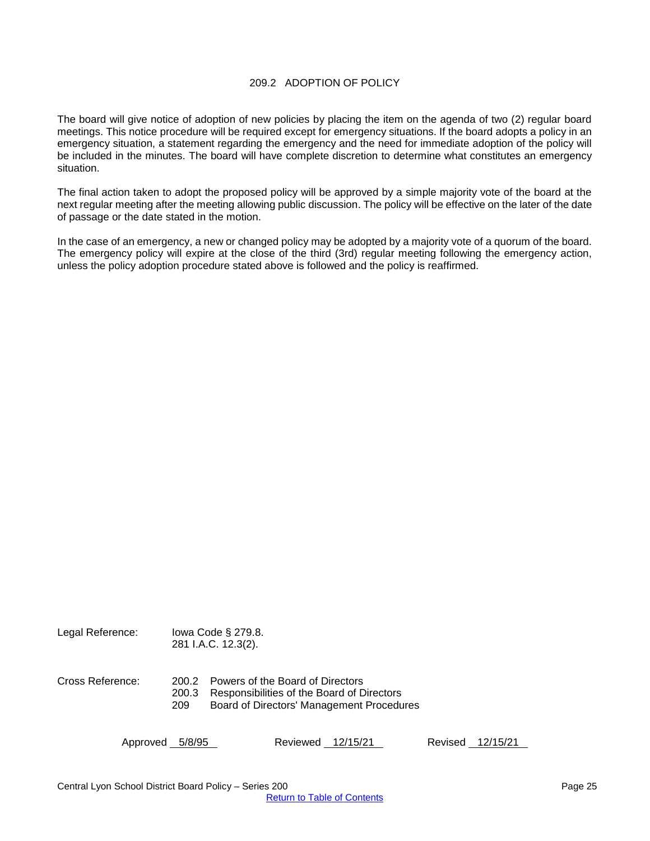#### 209.2 ADOPTION OF POLICY

<span id="page-24-0"></span>The board will give notice of adoption of new policies by placing the item on the agenda of two (2) regular board meetings. This notice procedure will be required except for emergency situations. If the board adopts a policy in an emergency situation, a statement regarding the emergency and the need for immediate adoption of the policy will be included in the minutes. The board will have complete discretion to determine what constitutes an emergency situation.

The final action taken to adopt the proposed policy will be approved by a simple majority vote of the board at the next regular meeting after the meeting allowing public discussion. The policy will be effective on the later of the date of passage or the date stated in the motion.

In the case of an emergency, a new or changed policy may be adopted by a majority vote of a quorum of the board. The emergency policy will expire at the close of the third (3rd) regular meeting following the emergency action, unless the policy adoption procedure stated above is followed and the policy is reaffirmed.

Legal Reference: Iowa Code § 279.8. 281 I.A.C. 12.3(2). Cross Reference: 200.2 Powers of the Board of Directors 200.3 Responsibilities of the Board of Directors 209 Board of Directors' Management Procedures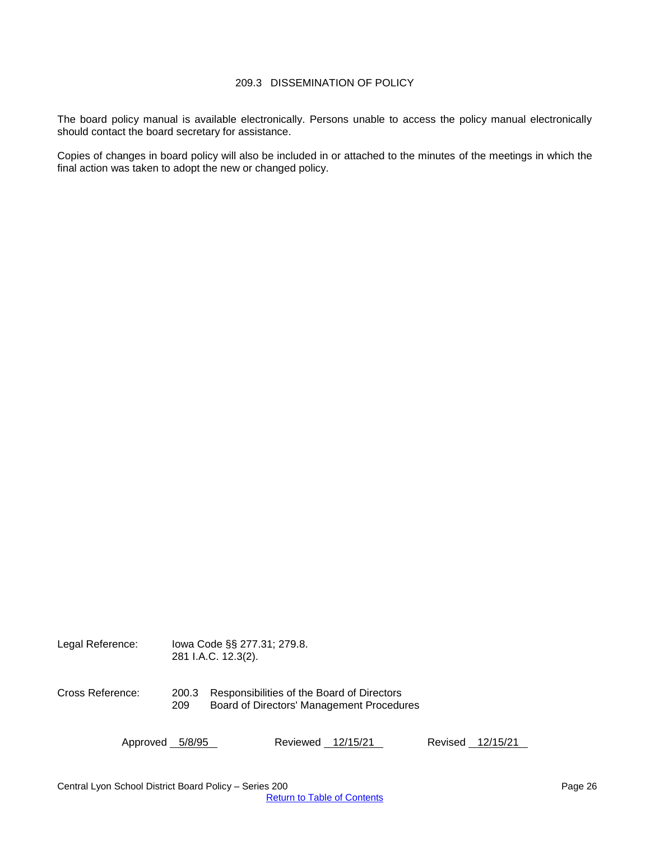## 209.3 DISSEMINATION OF POLICY

<span id="page-25-0"></span>The board policy manual is available electronically. Persons unable to access the policy manual electronically should contact the board secretary for assistance.

Copies of changes in board policy will also be included in or attached to the minutes of the meetings in which the final action was taken to adopt the new or changed policy.

| Legal Reference: | lowa Code §§ 277.31; 279.8.<br>281 I.A.C. 12.3(2). |                                                                                         |  |  |
|------------------|----------------------------------------------------|-----------------------------------------------------------------------------------------|--|--|
| Cross Reference: | 200.3<br>209                                       | Responsibilities of the Board of Directors<br>Board of Directors' Management Procedures |  |  |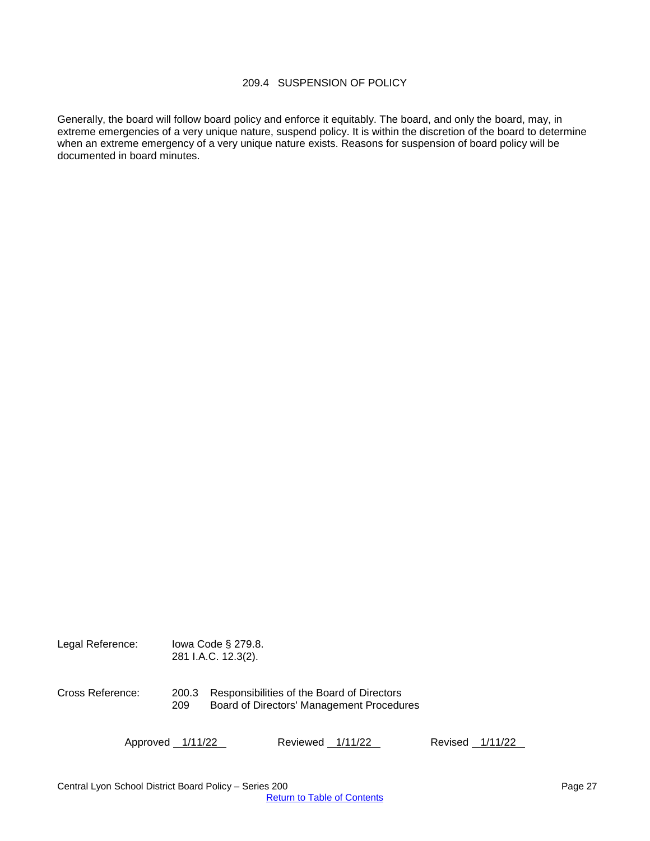## 209.4 SUSPENSION OF POLICY

<span id="page-26-0"></span>Generally, the board will follow board policy and enforce it equitably. The board, and only the board, may, in extreme emergencies of a very unique nature, suspend policy. It is within the discretion of the board to determine when an extreme emergency of a very unique nature exists. Reasons for suspension of board policy will be documented in board minutes.

| Legal Reference: |              | lowa Code § 279.8.<br>281 I.A.C. 12.3(2).                                               |
|------------------|--------------|-----------------------------------------------------------------------------------------|
| Cross Reference: | 200.3<br>209 | Responsibilities of the Board of Directors<br>Board of Directors' Management Procedures |

Approved 1/11/22 Reviewed 1/11/22 Revised 1/11/22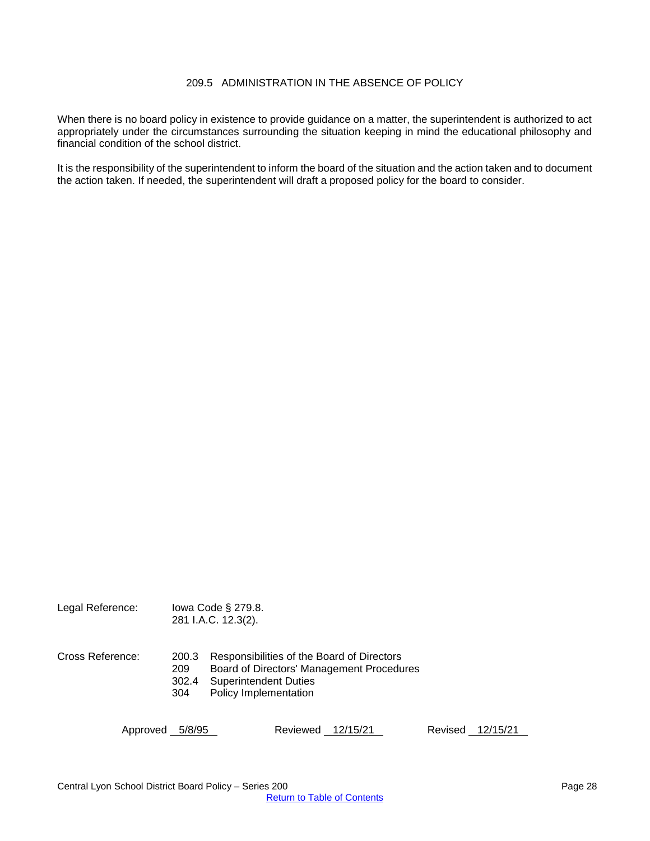## 209.5 ADMINISTRATION IN THE ABSENCE OF POLICY

<span id="page-27-0"></span>When there is no board policy in existence to provide guidance on a matter, the superintendent is authorized to act appropriately under the circumstances surrounding the situation keeping in mind the educational philosophy and financial condition of the school district.

It is the responsibility of the superintendent to inform the board of the situation and the action taken and to document the action taken. If needed, the superintendent will draft a proposed policy for the board to consider.

| Legal Reference: |                              | lowa Code § 279.8.<br>281 I.A.C. 12.3(2).                                                           |          |                                           |         |          |  |
|------------------|------------------------------|-----------------------------------------------------------------------------------------------------|----------|-------------------------------------------|---------|----------|--|
| Cross Reference: | 200.3<br>209<br>302.4<br>304 | Responsibilities of the Board of Directors<br><b>Superintendent Duties</b><br>Policy Implementation |          | Board of Directors' Management Procedures |         |          |  |
| Approved         | 5/8/95                       |                                                                                                     | Reviewed | 12/15/21                                  | Revised | 12/15/21 |  |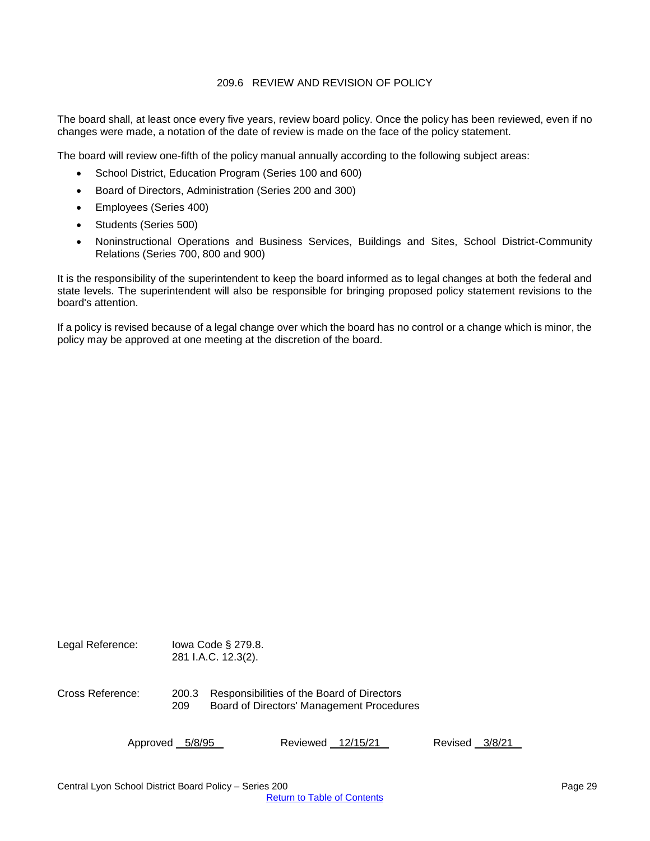#### 209.6 REVIEW AND REVISION OF POLICY

<span id="page-28-0"></span>The board shall, at least once every five years, review board policy. Once the policy has been reviewed, even if no changes were made, a notation of the date of review is made on the face of the policy statement.

The board will review one-fifth of the policy manual annually according to the following subject areas:

- School District, Education Program (Series 100 and 600)
- Board of Directors, Administration (Series 200 and 300)
- Employees (Series 400)
- Students (Series 500)
- Noninstructional Operations and Business Services, Buildings and Sites, School District-Community Relations (Series 700, 800 and 900)

It is the responsibility of the superintendent to keep the board informed as to legal changes at both the federal and state levels. The superintendent will also be responsible for bringing proposed policy statement revisions to the board's attention.

If a policy is revised because of a legal change over which the board has no control or a change which is minor, the policy may be approved at one meeting at the discretion of the board.

| Legal Reference: |              | lowa Code $\S$ 279.8.<br>281 I.A.C. 12.3(2). |          |                                                                                         |         |        |
|------------------|--------------|----------------------------------------------|----------|-----------------------------------------------------------------------------------------|---------|--------|
| Cross Reference: | 200.3<br>209 |                                              |          | Responsibilities of the Board of Directors<br>Board of Directors' Management Procedures |         |        |
| Approved         | 5/8/95       |                                              | Reviewed | 12/15/21                                                                                | Revised | 3/8/21 |

Central Lyon School District Board Policy – Series 200 **Page 29** Page 29 [Return to Table of Contents](#page-0-0)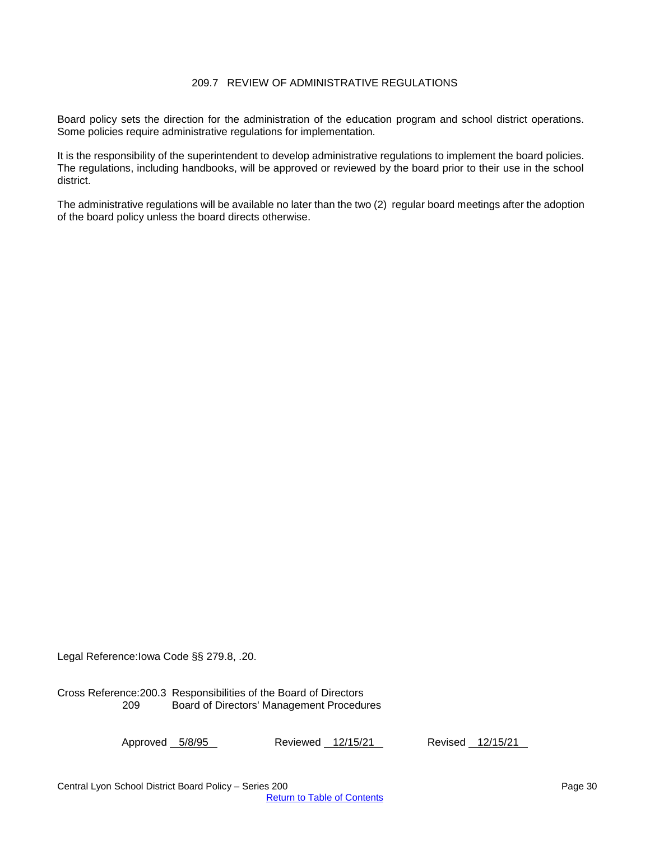## 209.7 REVIEW OF ADMINISTRATIVE REGULATIONS

<span id="page-29-0"></span>Board policy sets the direction for the administration of the education program and school district operations. Some policies require administrative regulations for implementation.

It is the responsibility of the superintendent to develop administrative regulations to implement the board policies. The regulations, including handbooks, will be approved or reviewed by the board prior to their use in the school district.

The administrative regulations will be available no later than the two (2) regular board meetings after the adoption of the board policy unless the board directs otherwise.

Legal Reference:Iowa Code §§ 279.8, .20.

Cross Reference:200.3 Responsibilities of the Board of Directors 209 Board of Directors' Management Procedures

Approved 5/8/95 Reviewed 12/15/21 Revised 12/15/21

Central Lyon School District Board Policy – Series 200 **Page 30** Page 30 [Return to Table of Contents](#page-0-0)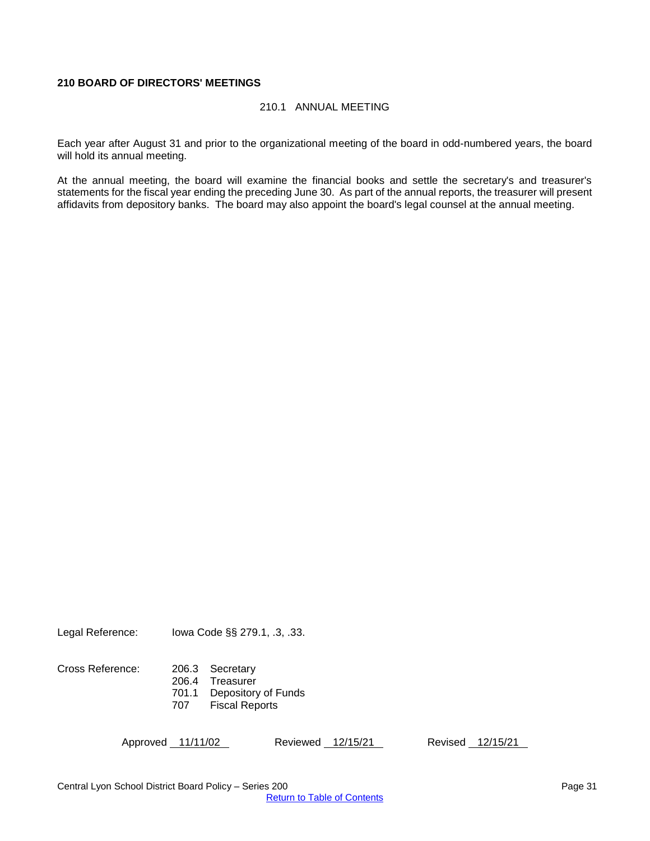## <span id="page-30-1"></span><span id="page-30-0"></span>**210 BOARD OF DIRECTORS' MEETINGS**

#### 210.1 ANNUAL MEETING

Each year after August 31 and prior to the organizational meeting of the board in odd-numbered years, the board will hold its annual meeting.

At the annual meeting, the board will examine the financial books and settle the secretary's and treasurer's statements for the fiscal year ending the preceding June 30. As part of the annual reports, the treasurer will present affidavits from depository banks. The board may also appoint the board's legal counsel at the annual meeting.

Legal Reference: Iowa Code §§ 279.1, .3, .33.

| Cross Reference: | 206.3 Secretary           |
|------------------|---------------------------|
|                  | 206.4 Treasurer           |
|                  | 701.1 Depository of Funds |
|                  |                           |

707 Fiscal Reports

Approved 11/11/02 Reviewed 12/15/21 Revised 12/15/21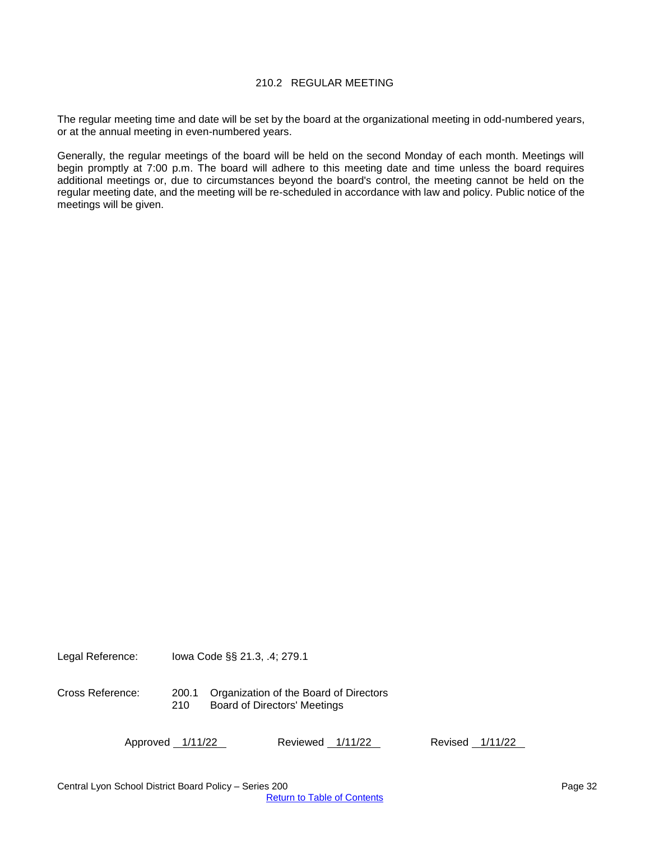#### 210.2 REGULAR MEETING

<span id="page-31-0"></span>The regular meeting time and date will be set by the board at the organizational meeting in odd-numbered years, or at the annual meeting in even-numbered years.

Generally, the regular meetings of the board will be held on the second Monday of each month. Meetings will begin promptly at 7:00 p.m. The board will adhere to this meeting date and time unless the board requires additional meetings or, due to circumstances beyond the board's control, the meeting cannot be held on the regular meeting date, and the meeting will be re-scheduled in accordance with law and policy. Public notice of the meetings will be given.

Legal Reference: Iowa Code §§ 21.3, .4; 279.1

Cross Reference: 200.1 Organization of the Board of Directors<br>210 Board of Directors' Meetings Board of Directors' Meetings

Approved 1/11/22 Reviewed 1/11/22 Revised 1/11/22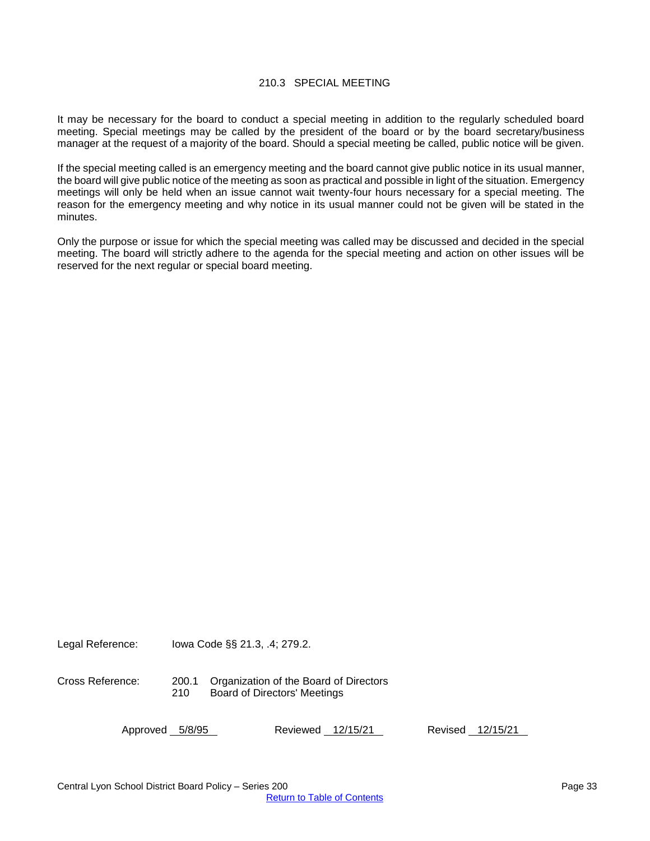#### 210.3 SPECIAL MEETING

<span id="page-32-0"></span>It may be necessary for the board to conduct a special meeting in addition to the regularly scheduled board meeting. Special meetings may be called by the president of the board or by the board secretary/business manager at the request of a majority of the board. Should a special meeting be called, public notice will be given.

If the special meeting called is an emergency meeting and the board cannot give public notice in its usual manner, the board will give public notice of the meeting as soon as practical and possible in light of the situation. Emergency meetings will only be held when an issue cannot wait twenty-four hours necessary for a special meeting. The reason for the emergency meeting and why notice in its usual manner could not be given will be stated in the minutes.

Only the purpose or issue for which the special meeting was called may be discussed and decided in the special meeting. The board will strictly adhere to the agenda for the special meeting and action on other issues will be reserved for the next regular or special board meeting.

Cross Reference: 200.1 Organization of the Board of Directors 210 Board of Directors' Meetings

Approved 5/8/95 Reviewed 12/15/21 Revised 12/15/21

Legal Reference: Iowa Code §§ 21.3, .4; 279.2.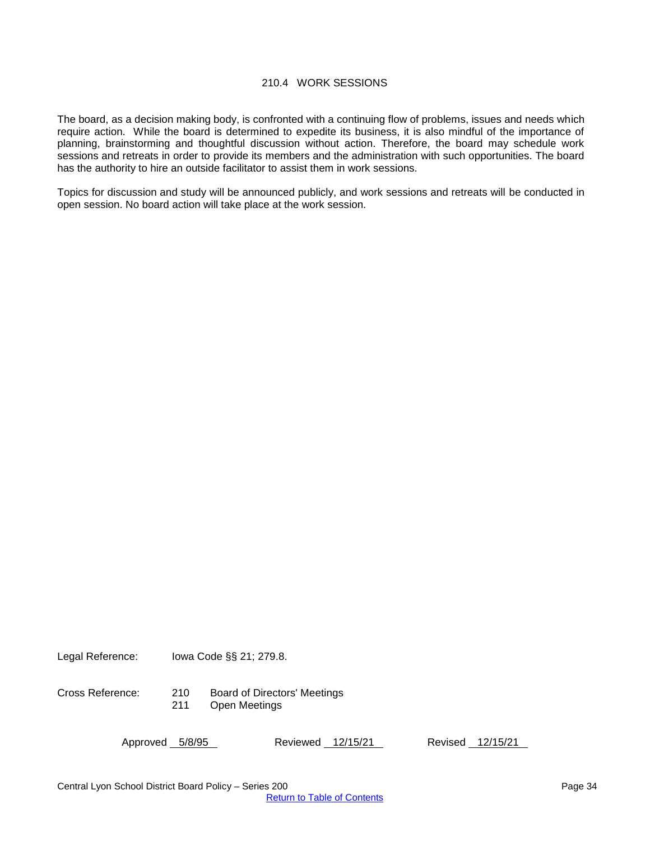#### 210.4 WORK SESSIONS

<span id="page-33-0"></span>The board, as a decision making body, is confronted with a continuing flow of problems, issues and needs which require action. While the board is determined to expedite its business, it is also mindful of the importance of planning, brainstorming and thoughtful discussion without action. Therefore, the board may schedule work sessions and retreats in order to provide its members and the administration with such opportunities. The board has the authority to hire an outside facilitator to assist them in work sessions.

Topics for discussion and study will be announced publicly, and work sessions and retreats will be conducted in open session. No board action will take place at the work session.

Legal Reference: Iowa Code §§ 21; 279.8.

Cross Reference: 210 Board of Directors' Meetings Open Meetings

Approved 5/8/95 Reviewed 12/15/21 Revised 12/15/21

Central Lyon School District Board Policy – Series 200 **Page 34** Page 34 [Return to Table of Contents](#page-0-0)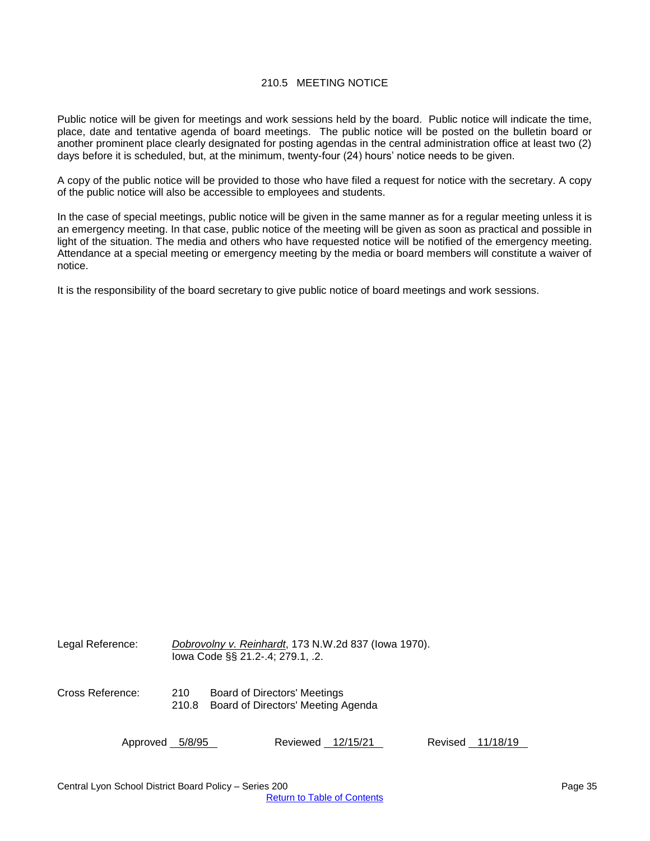#### 210.5 MEETING NOTICE

<span id="page-34-0"></span>Public notice will be given for meetings and work sessions held by the board. Public notice will indicate the time, place, date and tentative agenda of board meetings. The public notice will be posted on the bulletin board or another prominent place clearly designated for posting agendas in the central administration office at least two (2) days before it is scheduled, but, at the minimum, twenty-four (24) hours' notice needs to be given.

A copy of the public notice will be provided to those who have filed a request for notice with the secretary. A copy of the public notice will also be accessible to employees and students.

In the case of special meetings, public notice will be given in the same manner as for a regular meeting unless it is an emergency meeting. In that case, public notice of the meeting will be given as soon as practical and possible in light of the situation. The media and others who have requested notice will be notified of the emergency meeting. Attendance at a special meeting or emergency meeting by the media or board members will constitute a waiver of notice.

It is the responsibility of the board secretary to give public notice of board meetings and work sessions.

| Legal Reference: | Dobrovolny v. Reinhardt, 173 N.W.2d 837 (lowa 1970).<br>lowa Code §§ 21.2-.4; 279.1, .2. |                                                                           |  |  |
|------------------|------------------------------------------------------------------------------------------|---------------------------------------------------------------------------|--|--|
| Cross Reference: | 210<br>210.8                                                                             | <b>Board of Directors' Meetings</b><br>Board of Directors' Meeting Agenda |  |  |
| Approved 5/8/95  |                                                                                          | Reviewed 12/15/21<br>Revised 11/18/19                                     |  |  |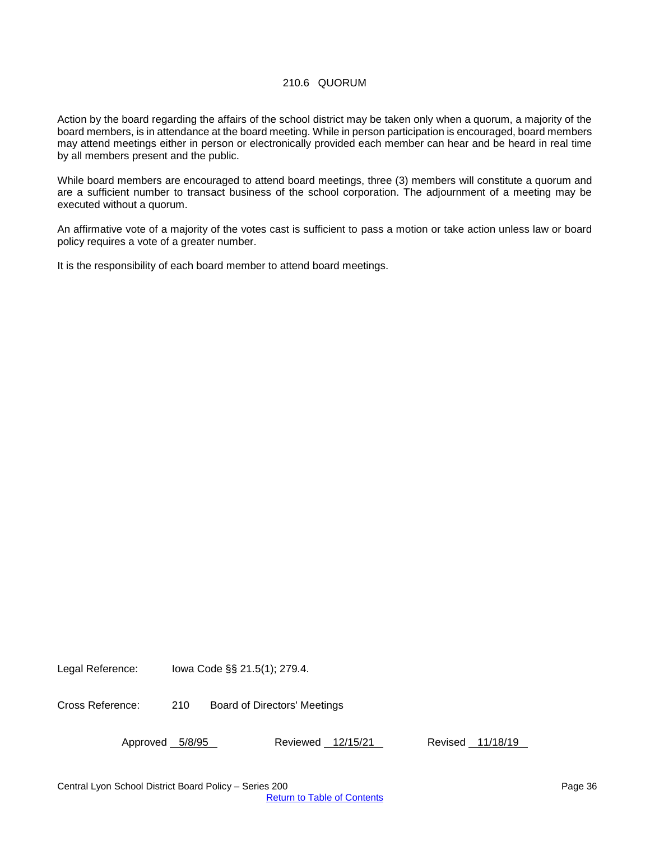#### 210.6 QUORUM

<span id="page-35-0"></span>Action by the board regarding the affairs of the school district may be taken only when a quorum, a majority of the board members, is in attendance at the board meeting. While in person participation is encouraged, board members may attend meetings either in person or electronically provided each member can hear and be heard in real time by all members present and the public.

While board members are encouraged to attend board meetings, three (3) members will constitute a quorum and are a sufficient number to transact business of the school corporation. The adjournment of a meeting may be executed without a quorum.

An affirmative vote of a majority of the votes cast is sufficient to pass a motion or take action unless law or board policy requires a vote of a greater number.

It is the responsibility of each board member to attend board meetings.

Legal Reference: Iowa Code §§ 21.5(1); 279.4.

Cross Reference: 210 Board of Directors' Meetings

Approved 5/8/95 Reviewed 12/15/21 Revised 11/18/19

Central Lyon School District Board Policy – Series 200 **Page 36** Page 36 [Return to Table of Contents](#page-0-0)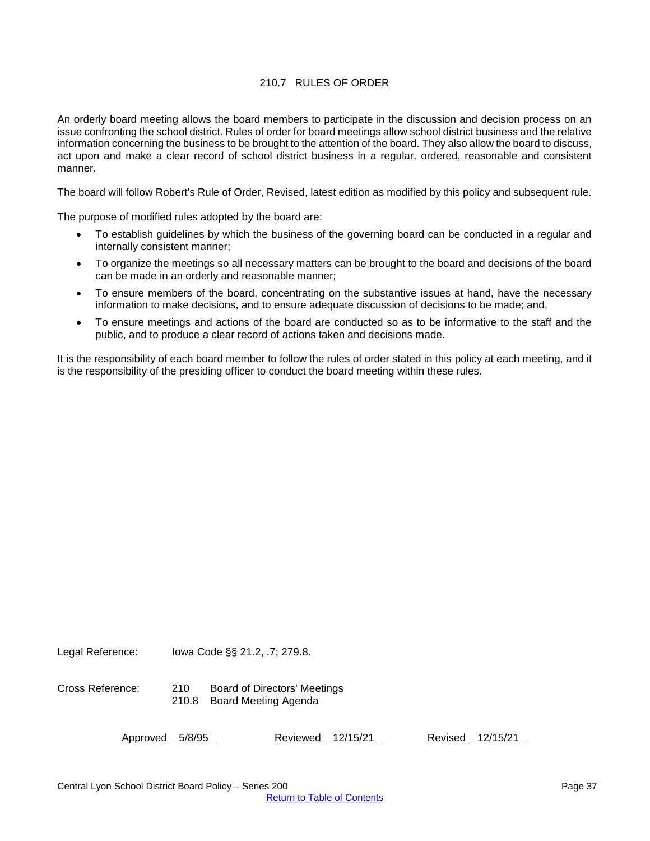#### 210.7 RULES OF ORDER

<span id="page-36-0"></span>An orderly board meeting allows the board members to participate in the discussion and decision process on an issue confronting the school district. Rules of order for board meetings allow school district business and the relative information concerning the business to be brought to the attention of the board. They also allow the board to discuss, act upon and make a clear record of school district business in a regular, ordered, reasonable and consistent manner.

The board will follow Robert's Rule of Order, Revised, latest edition as modified by this policy and subsequent rule.

The purpose of modified rules adopted by the board are:

- To establish guidelines by which the business of the governing board can be conducted in a regular and internally consistent manner;
- To organize the meetings so all necessary matters can be brought to the board and decisions of the board can be made in an orderly and reasonable manner;
- To ensure members of the board, concentrating on the substantive issues at hand, have the necessary information to make decisions, and to ensure adequate discussion of decisions to be made; and,
- To ensure meetings and actions of the board are conducted so as to be informative to the staff and the public, and to produce a clear record of actions taken and decisions made.

It is the responsibility of each board member to follow the rules of order stated in this policy at each meeting, and it is the responsibility of the presiding officer to conduct the board meeting within these rules.

Legal Reference: Iowa Code §§ 21.2, .7; 279.8.

Cross Reference: 210 Board of Directors' Meetings 210.8 Board Meeting Agenda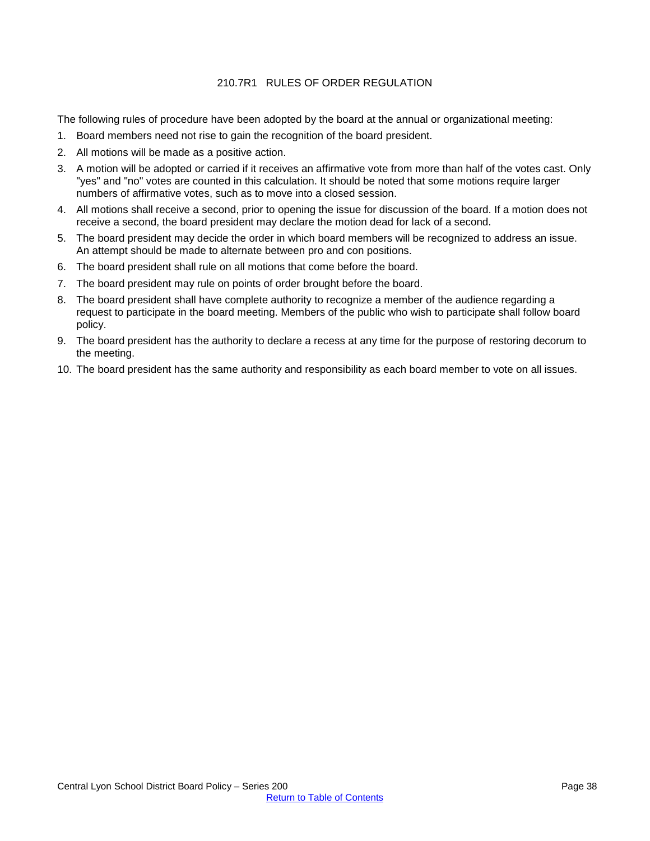#### 210.7R1 RULES OF ORDER REGULATION

<span id="page-37-0"></span>The following rules of procedure have been adopted by the board at the annual or organizational meeting:

- 1. Board members need not rise to gain the recognition of the board president.
- 2. All motions will be made as a positive action.
- 3. A motion will be adopted or carried if it receives an affirmative vote from more than half of the votes cast. Only "yes" and "no" votes are counted in this calculation. It should be noted that some motions require larger numbers of affirmative votes, such as to move into a closed session.
- 4. All motions shall receive a second, prior to opening the issue for discussion of the board. If a motion does not receive a second, the board president may declare the motion dead for lack of a second.
- 5. The board president may decide the order in which board members will be recognized to address an issue. An attempt should be made to alternate between pro and con positions.
- 6. The board president shall rule on all motions that come before the board.
- 7. The board president may rule on points of order brought before the board.
- 8. The board president shall have complete authority to recognize a member of the audience regarding a request to participate in the board meeting. Members of the public who wish to participate shall follow board policy.
- 9. The board president has the authority to declare a recess at any time for the purpose of restoring decorum to the meeting.
- 10. The board president has the same authority and responsibility as each board member to vote on all issues.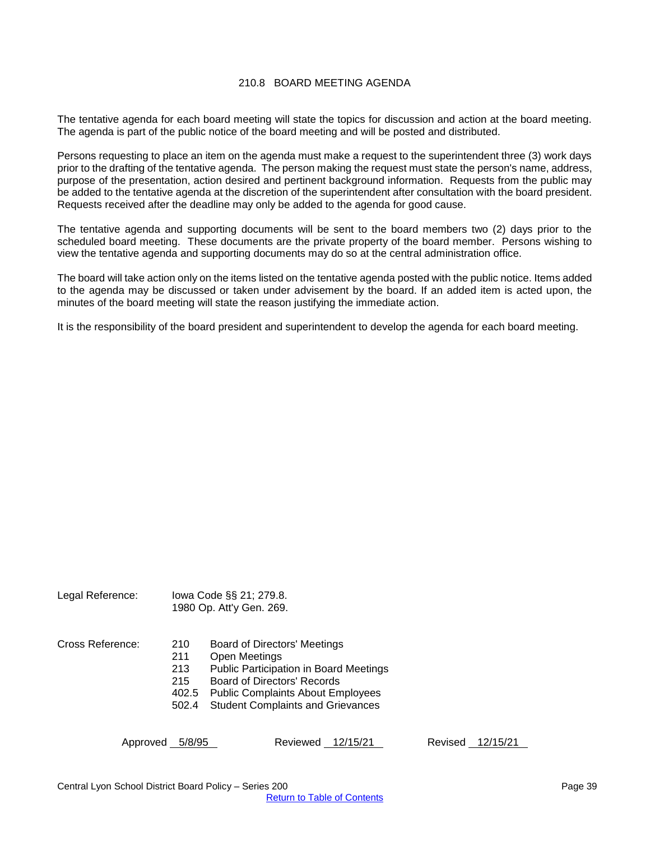#### 210.8 BOARD MEETING AGENDA

<span id="page-38-0"></span>The tentative agenda for each board meeting will state the topics for discussion and action at the board meeting. The agenda is part of the public notice of the board meeting and will be posted and distributed.

Persons requesting to place an item on the agenda must make a request to the superintendent three (3) work days prior to the drafting of the tentative agenda. The person making the request must state the person's name, address, purpose of the presentation, action desired and pertinent background information. Requests from the public may be added to the tentative agenda at the discretion of the superintendent after consultation with the board president. Requests received after the deadline may only be added to the agenda for good cause.

The tentative agenda and supporting documents will be sent to the board members two (2) days prior to the scheduled board meeting. These documents are the private property of the board member. Persons wishing to view the tentative agenda and supporting documents may do so at the central administration office.

The board will take action only on the items listed on the tentative agenda posted with the public notice. Items added to the agenda may be discussed or taken under advisement by the board. If an added item is acted upon, the minutes of the board meeting will state the reason justifying the immediate action.

It is the responsibility of the board president and superintendent to develop the agenda for each board meeting.

| Legal Reference: |                                            | lowa Code §§ 21; 279.8.<br>1980 Op. Att'y Gen. 269.                                                                                                                                                                                 |
|------------------|--------------------------------------------|-------------------------------------------------------------------------------------------------------------------------------------------------------------------------------------------------------------------------------------|
| Cross Reference: | 210<br>211<br>213<br>215<br>402.5<br>502.4 | <b>Board of Directors' Meetings</b><br><b>Open Meetings</b><br><b>Public Participation in Board Meetings</b><br>Board of Directors' Records<br><b>Public Complaints About Employees</b><br><b>Student Complaints and Grievances</b> |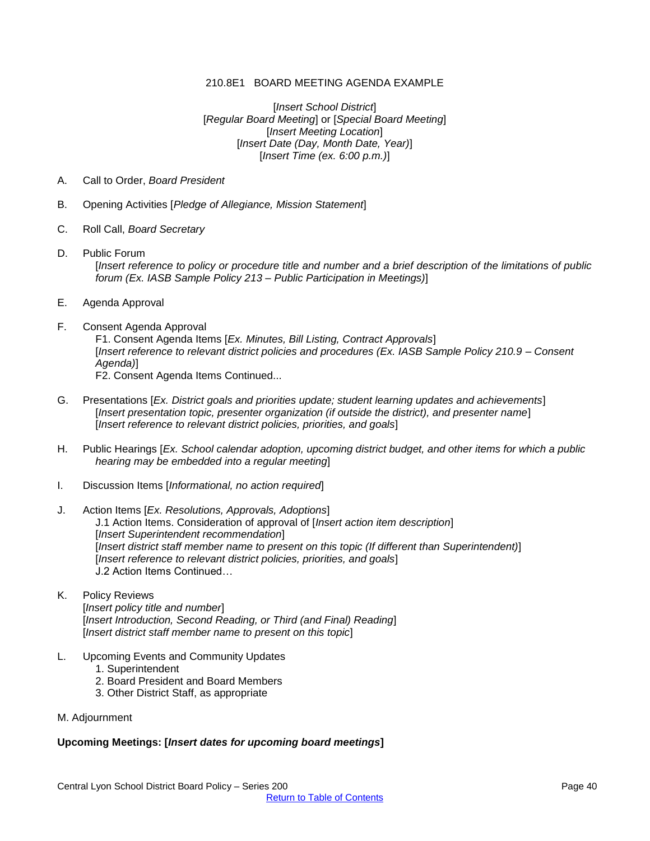#### 210.8E1 BOARD MEETING AGENDA EXAMPLE

[*Insert School District*] [*Regular Board Meeting*] or [*Special Board Meeting*] [*Insert Meeting Location*] [*Insert Date (Day, Month Date, Year)*] [*Insert Time (ex. 6:00 p.m.)*]

- <span id="page-39-0"></span>A. Call to Order, *Board President*
- B. Opening Activities [*Pledge of Allegiance, Mission Statement*]
- C. Roll Call, *Board Secretary*
- D. Public Forum [*Insert reference to policy or procedure title and number and a brief description of the limitations of public forum (Ex. IASB Sample Policy 213 – Public Participation in Meetings)*]
- E. Agenda Approval
- F. Consent Agenda Approval

F1. Consent Agenda Items [*Ex. Minutes, Bill Listing, Contract Approvals*] [*Insert reference to relevant district policies and procedures (Ex. IASB Sample Policy 210.9 – Consent Agenda)*]

- F2. Consent Agenda Items Continued...
- G. Presentations [*Ex. District goals and priorities update; student learning updates and achievements*] [*Insert presentation topic, presenter organization (if outside the district), and presenter name*] [*Insert reference to relevant district policies, priorities, and goals*]
- H. Public Hearings [*Ex. School calendar adoption, upcoming district budget, and other items for which a public hearing may be embedded into a regular meeting*]
- I. Discussion Items [*Informational, no action required*]
- J. Action Items [*Ex. Resolutions, Approvals, Adoptions*] J.1 Action Items. Consideration of approval of [*Insert action item description*] [*Insert Superintendent recommendation*] [*Insert district staff member name to present on this topic (If different than Superintendent)*] [*Insert reference to relevant district policies, priorities, and goals*] J.2 Action Items Continued…
- K. Policy Reviews [*Insert policy title and number*] [*Insert Introduction, Second Reading, or Third (and Final) Reading*] [*Insert district staff member name to present on this topic*]
- L. Upcoming Events and Community Updates
	- 1. Superintendent
	- 2. Board President and Board Members
	- 3. Other District Staff, as appropriate
- M. Adjournment

#### **Upcoming Meetings: [***Insert dates for upcoming board meetings***]**

Central Lyon School District Board Policy – Series 200 **Page 40** Page 40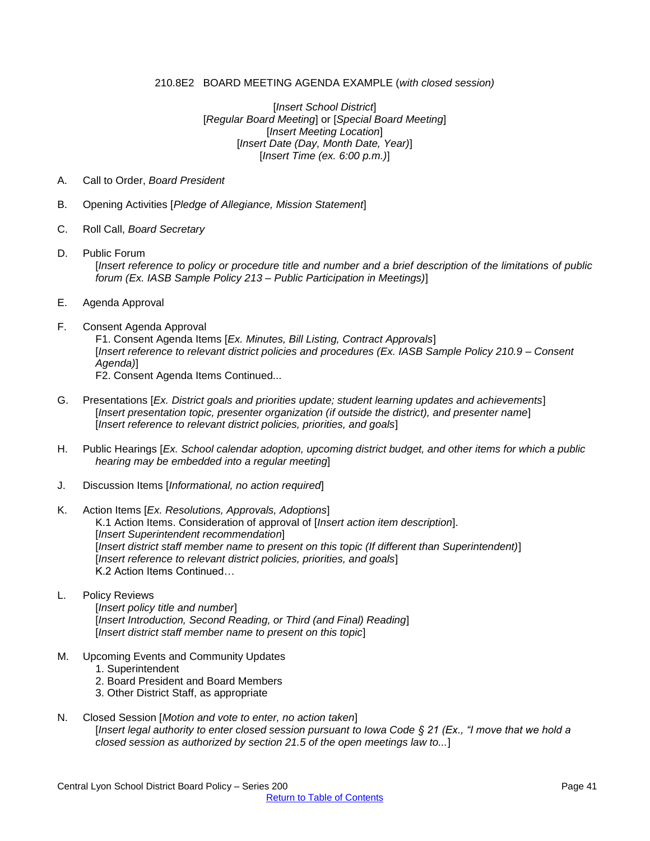#### 210.8E2 BOARD MEETING AGENDA EXAMPLE (*with closed session)*

[*Insert School District*] [*Regular Board Meeting*] or [*Special Board Meeting*] [*Insert Meeting Location*] [*Insert Date (Day, Month Date, Year)*] [*Insert Time (ex. 6:00 p.m.)*]

- <span id="page-40-0"></span>A. Call to Order, *Board President*
- B. Opening Activities [*Pledge of Allegiance, Mission Statement*]
- C. Roll Call, *Board Secretary*
- D. Public Forum [*Insert reference to policy or procedure title and number and a brief description of the limitations of public forum (Ex. IASB Sample Policy 213 – Public Participation in Meetings)*]
- E. Agenda Approval
- F. Consent Agenda Approval

F1. Consent Agenda Items [*Ex. Minutes, Bill Listing, Contract Approvals*] [*Insert reference to relevant district policies and procedures (Ex. IASB Sample Policy 210.9 – Consent Agenda)*]

- F2. Consent Agenda Items Continued...
- G. Presentations [*Ex. District goals and priorities update; student learning updates and achievements*] [*Insert presentation topic, presenter organization (if outside the district), and presenter name*] [*Insert reference to relevant district policies, priorities, and goals*]
- H. Public Hearings [*Ex. School calendar adoption, upcoming district budget, and other items for which a public hearing may be embedded into a regular meeting*]
- J. Discussion Items [*Informational, no action required*]
- K. Action Items [*Ex. Resolutions, Approvals, Adoptions*] K.1 Action Items. Consideration of approval of [*Insert action item description*]. [*Insert Superintendent recommendation*] [*Insert district staff member name to present on this topic (If different than Superintendent)*] [*Insert reference to relevant district policies, priorities, and goals*] K.2 Action Items Continued…
- L. Policy Reviews

[*Insert policy title and number*] [*Insert Introduction, Second Reading, or Third (and Final) Reading*] [*Insert district staff member name to present on this topic*]

- M. Upcoming Events and Community Updates
	- 1. Superintendent
	- 2. Board President and Board Members
	- 3. Other District Staff, as appropriate
- N. Closed Session [*Motion and vote to enter, no action taken*] [*Insert legal authority to enter closed session pursuant to Iowa Code § 21 (Ex., "I move that we hold a closed session as authorized by section 21.5 of the open meetings law to...*]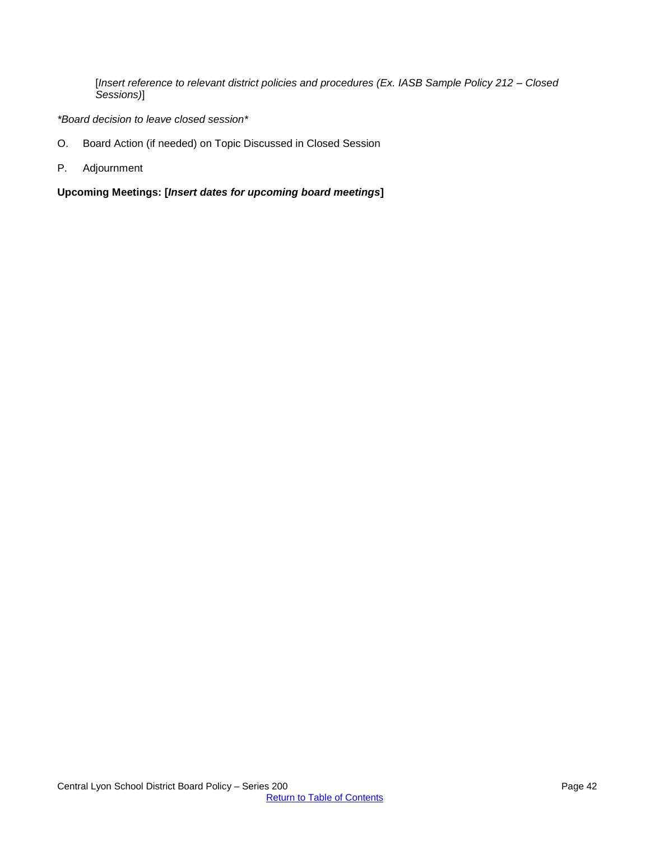[*Insert reference to relevant district policies and procedures (Ex. IASB Sample Policy 212 – Closed Sessions)*]

*\*Board decision to leave closed session\**

- O. Board Action (if needed) on Topic Discussed in Closed Session
- P. Adjournment

**Upcoming Meetings: [***Insert dates for upcoming board meetings***]**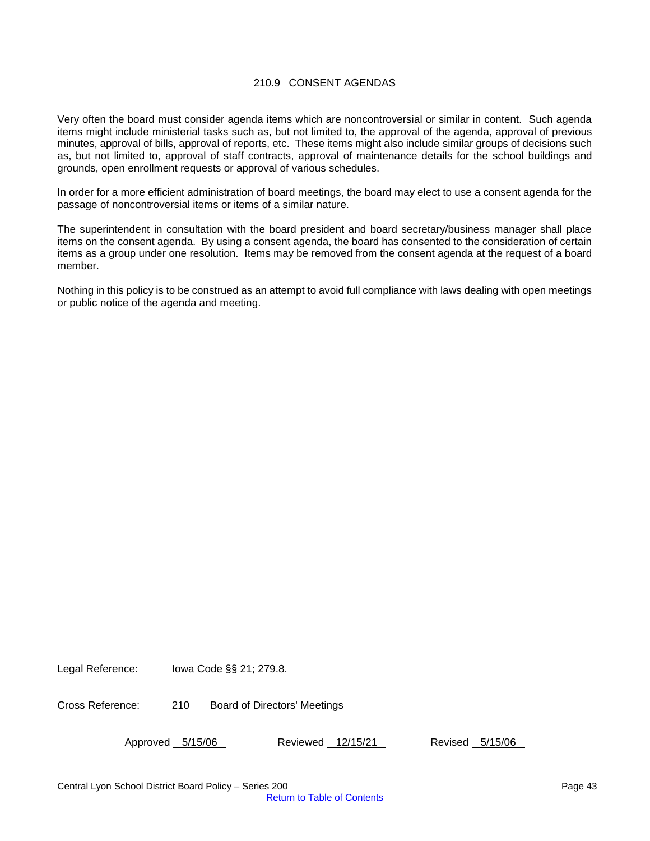#### 210.9 CONSENT AGENDAS

<span id="page-42-0"></span>Very often the board must consider agenda items which are noncontroversial or similar in content. Such agenda items might include ministerial tasks such as, but not limited to, the approval of the agenda, approval of previous minutes, approval of bills, approval of reports, etc. These items might also include similar groups of decisions such as, but not limited to, approval of staff contracts, approval of maintenance details for the school buildings and grounds, open enrollment requests or approval of various schedules.

In order for a more efficient administration of board meetings, the board may elect to use a consent agenda for the passage of noncontroversial items or items of a similar nature.

The superintendent in consultation with the board president and board secretary/business manager shall place items on the consent agenda. By using a consent agenda, the board has consented to the consideration of certain items as a group under one resolution. Items may be removed from the consent agenda at the request of a board member.

Nothing in this policy is to be construed as an attempt to avoid full compliance with laws dealing with open meetings or public notice of the agenda and meeting.

Legal Reference: Iowa Code §§ 21; 279.8.

Cross Reference: 210 Board of Directors' Meetings

Approved 5/15/06 Reviewed 12/15/21 Revised 5/15/06

Central Lyon School District Board Policy – Series 200 **Page 43** Page 43 [Return to Table of Contents](#page-0-0)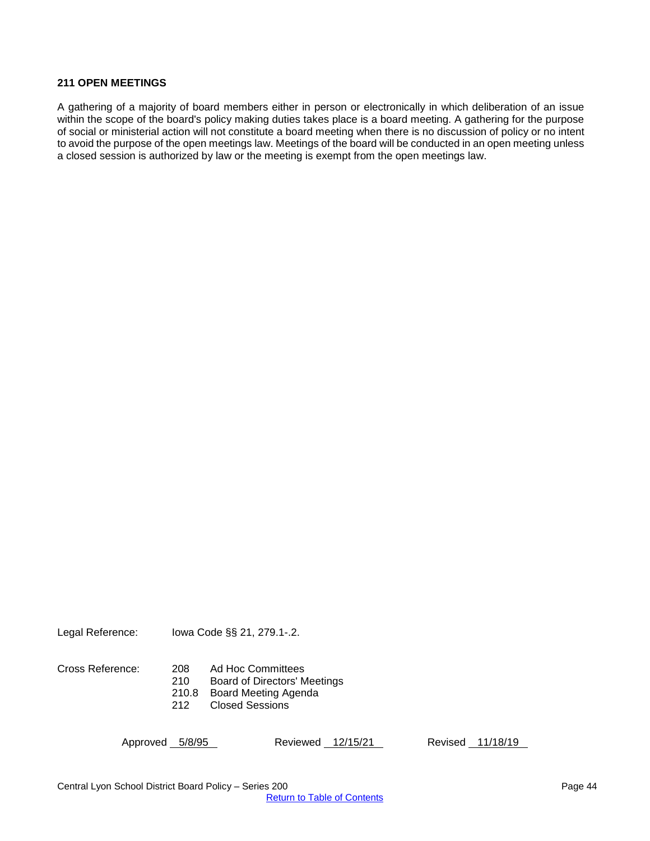#### <span id="page-43-0"></span>**211 OPEN MEETINGS**

A gathering of a majority of board members either in person or electronically in which deliberation of an issue within the scope of the board's policy making duties takes place is a board meeting. A gathering for the purpose of social or ministerial action will not constitute a board meeting when there is no discussion of policy or no intent to avoid the purpose of the open meetings law. Meetings of the board will be conducted in an open meeting unless a closed session is authorized by law or the meeting is exempt from the open meetings law.

Legal Reference: Iowa Code §§ 21, 279.1-.2.

Cross Reference: 208 Ad Hoc Committees

210 Board of Directors' Meetings<br>210.8 Board Meeting Agenda

210.8 Board Meeting Agenda<br>212 Closed Sessions

Closed Sessions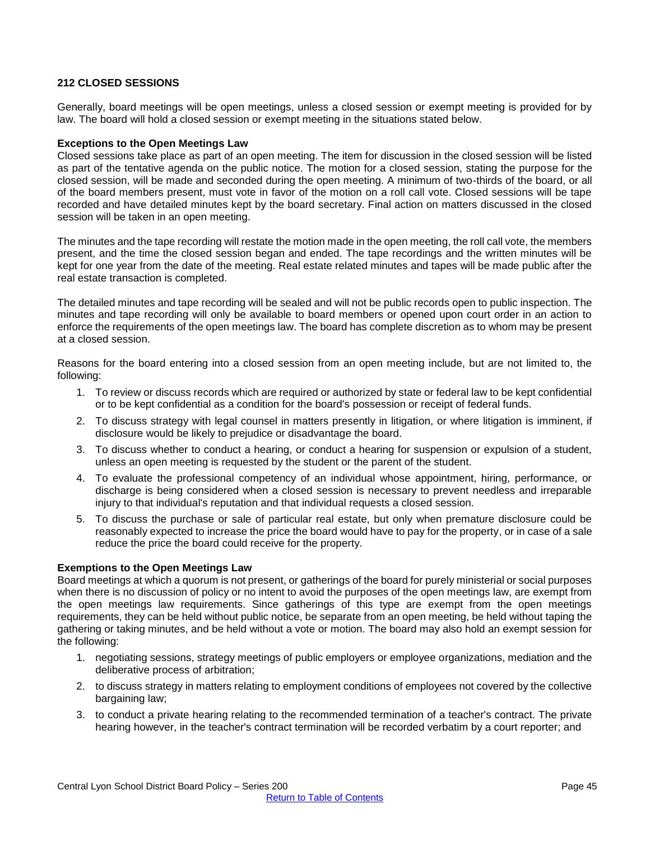#### <span id="page-44-0"></span>**212 CLOSED SESSIONS**

Generally, board meetings will be open meetings, unless a closed session or exempt meeting is provided for by law. The board will hold a closed session or exempt meeting in the situations stated below.

#### **Exceptions to the Open Meetings Law**

Closed sessions take place as part of an open meeting. The item for discussion in the closed session will be listed as part of the tentative agenda on the public notice. The motion for a closed session, stating the purpose for the closed session, will be made and seconded during the open meeting. A minimum of two-thirds of the board, or all of the board members present, must vote in favor of the motion on a roll call vote. Closed sessions will be tape recorded and have detailed minutes kept by the board secretary. Final action on matters discussed in the closed session will be taken in an open meeting.

The minutes and the tape recording will restate the motion made in the open meeting, the roll call vote, the members present, and the time the closed session began and ended. The tape recordings and the written minutes will be kept for one year from the date of the meeting. Real estate related minutes and tapes will be made public after the real estate transaction is completed.

The detailed minutes and tape recording will be sealed and will not be public records open to public inspection. The minutes and tape recording will only be available to board members or opened upon court order in an action to enforce the requirements of the open meetings law. The board has complete discretion as to whom may be present at a closed session.

Reasons for the board entering into a closed session from an open meeting include, but are not limited to, the following:

- 1. To review or discuss records which are required or authorized by state or federal law to be kept confidential or to be kept confidential as a condition for the board's possession or receipt of federal funds.
- 2. To discuss strategy with legal counsel in matters presently in litigation, or where litigation is imminent, if disclosure would be likely to prejudice or disadvantage the board.
- 3. To discuss whether to conduct a hearing, or conduct a hearing for suspension or expulsion of a student, unless an open meeting is requested by the student or the parent of the student.
- 4. To evaluate the professional competency of an individual whose appointment, hiring, performance, or discharge is being considered when a closed session is necessary to prevent needless and irreparable injury to that individual's reputation and that individual requests a closed session.
- 5. To discuss the purchase or sale of particular real estate, but only when premature disclosure could be reasonably expected to increase the price the board would have to pay for the property, or in case of a sale reduce the price the board could receive for the property.

#### **Exemptions to the Open Meetings Law**

Board meetings at which a quorum is not present, or gatherings of the board for purely ministerial or social purposes when there is no discussion of policy or no intent to avoid the purposes of the open meetings law, are exempt from the open meetings law requirements. Since gatherings of this type are exempt from the open meetings requirements, they can be held without public notice, be separate from an open meeting, be held without taping the gathering or taking minutes, and be held without a vote or motion. The board may also hold an exempt session for the following:

- 1. negotiating sessions, strategy meetings of public employers or employee organizations, mediation and the deliberative process of arbitration;
- 2. to discuss strategy in matters relating to employment conditions of employees not covered by the collective bargaining law;
- 3. to conduct a private hearing relating to the recommended termination of a teacher's contract. The private hearing however, in the teacher's contract termination will be recorded verbatim by a court reporter; and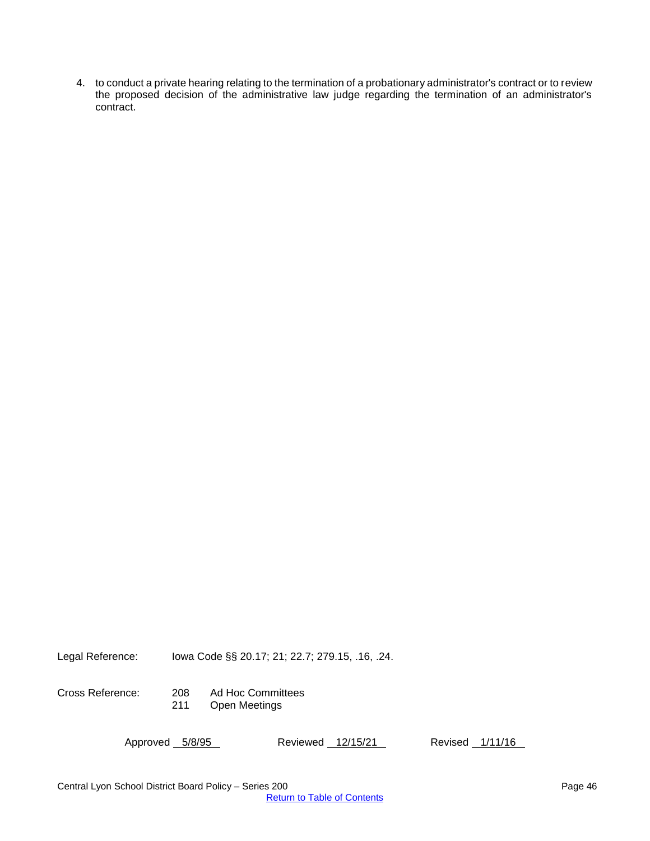4. to conduct a private hearing relating to the termination of a probationary administrator's contract or to review the proposed decision of the administrative law judge regarding the termination of an administrator's contract.

Legal Reference: Iowa Code §§ 20.17; 21; 22.7; 279.15, .16, .24.

Cross Reference: 208 Ad Hoc Committees<br>211 Open Meetings Open Meetings

| Approved 5/8/95 | Reviewed 12/15/21 | Revised 1/11/16 |
|-----------------|-------------------|-----------------|
|                 |                   |                 |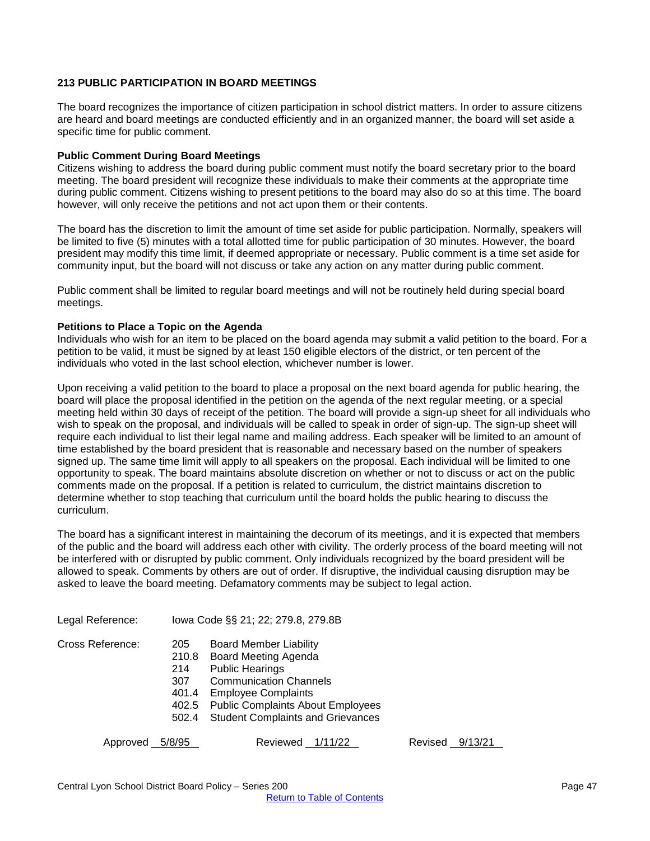#### <span id="page-46-0"></span>**213 PUBLIC PARTICIPATION IN BOARD MEETINGS**

The board recognizes the importance of citizen participation in school district matters. In order to assure citizens are heard and board meetings are conducted efficiently and in an organized manner, the board will set aside a specific time for public comment.

#### **Public Comment During Board Meetings**

Citizens wishing to address the board during public comment must notify the board secretary prior to the board meeting. The board president will recognize these individuals to make their comments at the appropriate time during public comment. Citizens wishing to present petitions to the board may also do so at this time. The board however, will only receive the petitions and not act upon them or their contents.

The board has the discretion to limit the amount of time set aside for public participation. Normally, speakers will be limited to five (5) minutes with a total allotted time for public participation of 30 minutes. However, the board president may modify this time limit, if deemed appropriate or necessary. Public comment is a time set aside for community input, but the board will not discuss or take any action on any matter during public comment.

Public comment shall be limited to regular board meetings and will not be routinely held during special board meetings.

#### **Petitions to Place a Topic on the Agenda**

Individuals who wish for an item to be placed on the board agenda may submit a valid petition to the board. For a petition to be valid, it must be signed by at least 150 eligible electors of the district, or ten percent of the individuals who voted in the last school election, whichever number is lower.

Upon receiving a valid petition to the board to place a proposal on the next board agenda for public hearing, the board will place the proposal identified in the petition on the agenda of the next regular meeting, or a special meeting held within 30 days of receipt of the petition. The board will provide a sign-up sheet for all individuals who wish to speak on the proposal, and individuals will be called to speak in order of sign-up. The sign-up sheet will require each individual to list their legal name and mailing address. Each speaker will be limited to an amount of time established by the board president that is reasonable and necessary based on the number of speakers signed up. The same time limit will apply to all speakers on the proposal. Each individual will be limited to one opportunity to speak. The board maintains absolute discretion on whether or not to discuss or act on the public comments made on the proposal. If a petition is related to curriculum, the district maintains discretion to determine whether to stop teaching that curriculum until the board holds the public hearing to discuss the curriculum.

The board has a significant interest in maintaining the decorum of its meetings, and it is expected that members of the public and the board will address each other with civility. The orderly process of the board meeting will not be interfered with or disrupted by public comment. Only individuals recognized by the board president will be allowed to speak. Comments by others are out of order. If disruptive, the individual causing disruption may be asked to leave the board meeting. Defamatory comments may be subject to legal action.

Legal Reference: Iowa Code §§ 21; 22; 279.8, 279.8B

- Cross Reference: 205 Board Member Liability
	- 210.8 Board Meeting Agenda
	- 214 Public Hearings
	- 307 Communication Channels
	- 401.4 Employee Complaints
	- 402.5 Public Complaints About Employees
	- 502.4 Student Complaints and Grievances

Approved 5/8/95 Reviewed 1/11/22 Revised 9/13/21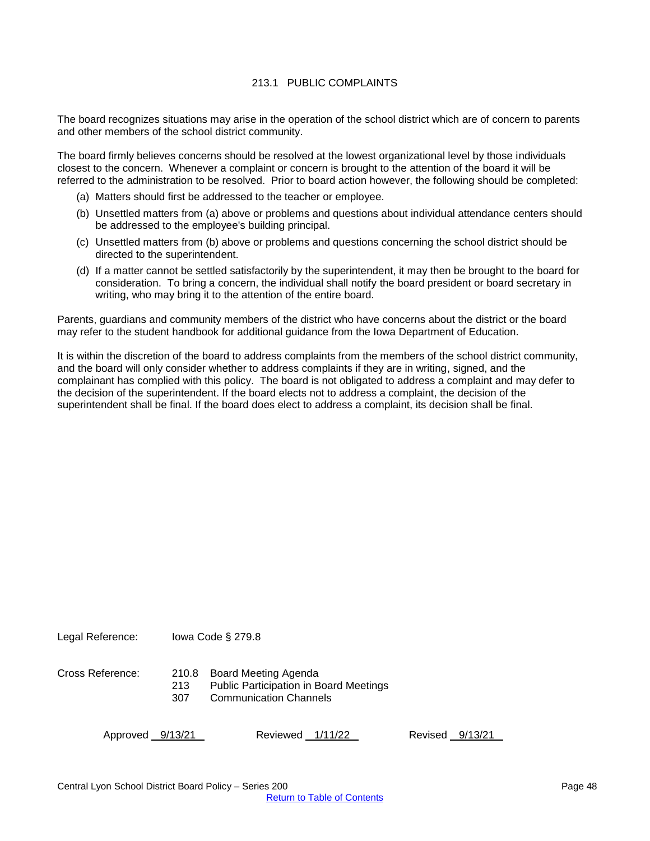### 213.1 PUBLIC COMPLAINTS

<span id="page-47-0"></span>The board recognizes situations may arise in the operation of the school district which are of concern to parents and other members of the school district community.

The board firmly believes concerns should be resolved at the lowest organizational level by those individuals closest to the concern. Whenever a complaint or concern is brought to the attention of the board it will be referred to the administration to be resolved. Prior to board action however, the following should be completed:

- (a) Matters should first be addressed to the teacher or employee.
- (b) Unsettled matters from (a) above or problems and questions about individual attendance centers should be addressed to the employee's building principal.
- (c) Unsettled matters from (b) above or problems and questions concerning the school district should be directed to the superintendent.
- (d) If a matter cannot be settled satisfactorily by the superintendent, it may then be brought to the board for consideration. To bring a concern, the individual shall notify the board president or board secretary in writing, who may bring it to the attention of the entire board.

Parents, guardians and community members of the district who have concerns about the district or the board may refer to the student handbook for additional guidance from the Iowa Department of Education.

It is within the discretion of the board to address complaints from the members of the school district community, and the board will only consider whether to address complaints if they are in writing, signed, and the complainant has complied with this policy. The board is not obligated to address a complaint and may defer to the decision of the superintendent. If the board elects not to address a complaint, the decision of the superintendent shall be final. If the board does elect to address a complaint, its decision shall be final.

Legal Reference: Iowa Code § 279.8

Cross Reference: 210.8 Board Meeting Agenda

- 213 Public Participation in Board Meetings
	- 307 Communication Channels

Approved 9/13/21 Reviewed 1/11/22 Revised 9/13/21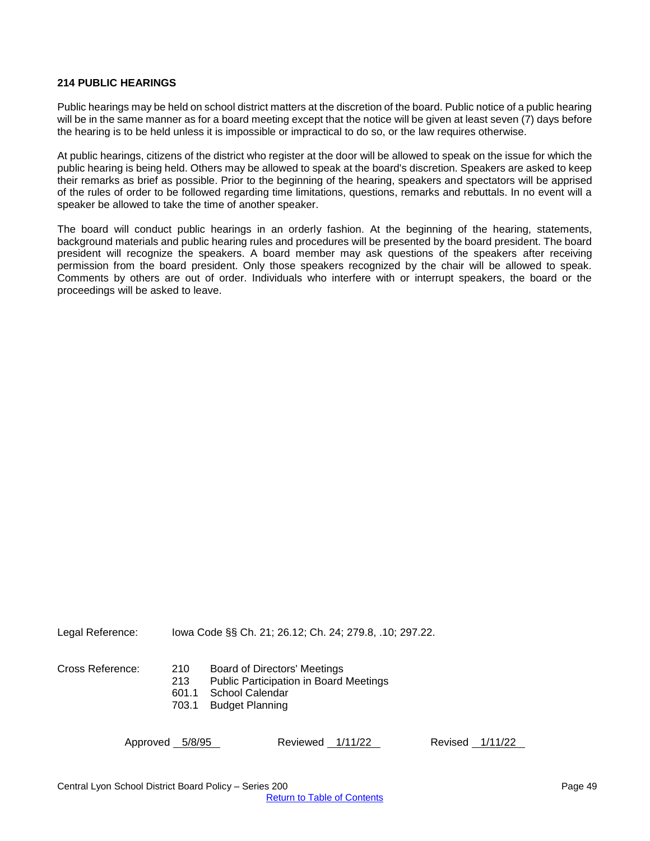#### <span id="page-48-0"></span>**214 PUBLIC HEARINGS**

Public hearings may be held on school district matters at the discretion of the board. Public notice of a public hearing will be in the same manner as for a board meeting except that the notice will be given at least seven (7) days before the hearing is to be held unless it is impossible or impractical to do so, or the law requires otherwise.

At public hearings, citizens of the district who register at the door will be allowed to speak on the issue for which the public hearing is being held. Others may be allowed to speak at the board's discretion. Speakers are asked to keep their remarks as brief as possible. Prior to the beginning of the hearing, speakers and spectators will be apprised of the rules of order to be followed regarding time limitations, questions, remarks and rebuttals. In no event will a speaker be allowed to take the time of another speaker.

The board will conduct public hearings in an orderly fashion. At the beginning of the hearing, statements, background materials and public hearing rules and procedures will be presented by the board president. The board president will recognize the speakers. A board member may ask questions of the speakers after receiving permission from the board president. Only those speakers recognized by the chair will be allowed to speak. Comments by others are out of order. Individuals who interfere with or interrupt speakers, the board or the proceedings will be asked to leave.

Legal Reference: Iowa Code §§ Ch. 21; 26.12; Ch. 24; 279.8, .10; 297.22.

Cross Reference: 210 Board of Directors' Meetings

213 Public Participation in Board Meetings

- 601.1 School Calendar
- 703.1 Budget Planning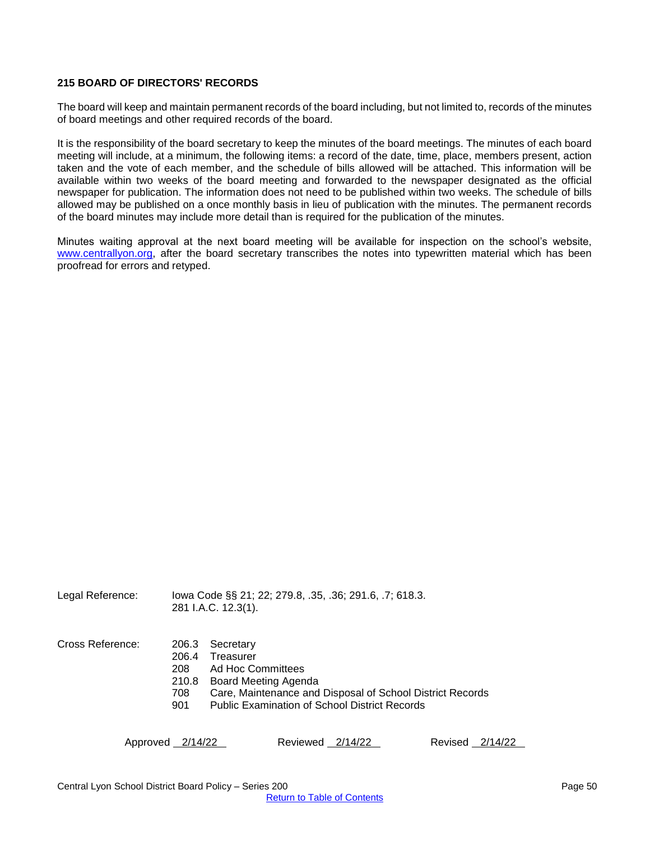#### <span id="page-49-0"></span>**215 BOARD OF DIRECTORS' RECORDS**

The board will keep and maintain permanent records of the board including, but not limited to, records of the minutes of board meetings and other required records of the board.

It is the responsibility of the board secretary to keep the minutes of the board meetings. The minutes of each board meeting will include, at a minimum, the following items: a record of the date, time, place, members present, action taken and the vote of each member, and the schedule of bills allowed will be attached. This information will be available within two weeks of the board meeting and forwarded to the newspaper designated as the official newspaper for publication. The information does not need to be published within two weeks. The schedule of bills allowed may be published on a once monthly basis in lieu of publication with the minutes. The permanent records of the board minutes may include more detail than is required for the publication of the minutes.

Minutes waiting approval at the next board meeting will be available for inspection on the school's website, [www.centrallyon.org,](www.centrallyon.org) after the board secretary transcribes the notes into typewritten material which has been proofread for errors and retyped.

Legal Reference: Iowa Code §§ 21; 22; 279.8, .35, .36; 291.6, .7; 618.3. 281 I.A.C. 12.3(1).

Cross Reference: 206.3 Secretary

- 
- 206.4 Treasurer
- 208 Ad Hoc Committees
- 210.8 Board Meeting Agenda
- 708 Care, Maintenance and Disposal of School District Records
- 901 Public Examination of School District Records

Approved 2/14/22 Reviewed 2/14/22 Revised 2/14/22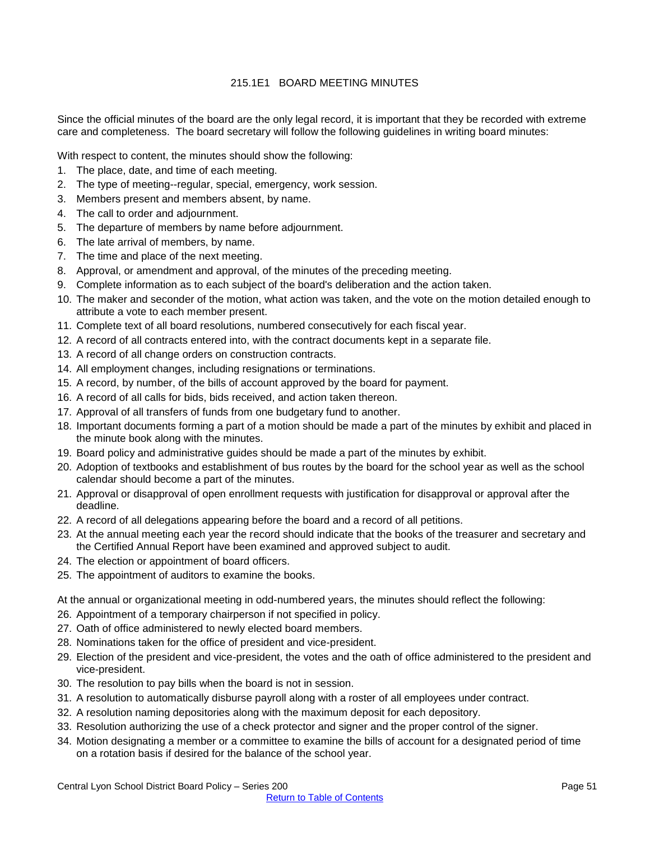## 215.1E1 BOARD MEETING MINUTES

<span id="page-50-0"></span>Since the official minutes of the board are the only legal record, it is important that they be recorded with extreme care and completeness. The board secretary will follow the following guidelines in writing board minutes:

With respect to content, the minutes should show the following:

- 1. The place, date, and time of each meeting.
- 2. The type of meeting--regular, special, emergency, work session.
- 3. Members present and members absent, by name.
- 4. The call to order and adjournment.
- 5. The departure of members by name before adjournment.
- 6. The late arrival of members, by name.
- 7. The time and place of the next meeting.
- 8. Approval, or amendment and approval, of the minutes of the preceding meeting.
- 9. Complete information as to each subject of the board's deliberation and the action taken.
- 10. The maker and seconder of the motion, what action was taken, and the vote on the motion detailed enough to attribute a vote to each member present.
- 11. Complete text of all board resolutions, numbered consecutively for each fiscal year.
- 12. A record of all contracts entered into, with the contract documents kept in a separate file.
- 13. A record of all change orders on construction contracts.
- 14. All employment changes, including resignations or terminations.
- 15. A record, by number, of the bills of account approved by the board for payment.
- 16. A record of all calls for bids, bids received, and action taken thereon.
- 17. Approval of all transfers of funds from one budgetary fund to another.
- 18. Important documents forming a part of a motion should be made a part of the minutes by exhibit and placed in the minute book along with the minutes.
- 19. Board policy and administrative guides should be made a part of the minutes by exhibit.
- 20. Adoption of textbooks and establishment of bus routes by the board for the school year as well as the school calendar should become a part of the minutes.
- 21. Approval or disapproval of open enrollment requests with justification for disapproval or approval after the deadline.
- 22. A record of all delegations appearing before the board and a record of all petitions.
- 23. At the annual meeting each year the record should indicate that the books of the treasurer and secretary and the Certified Annual Report have been examined and approved subject to audit.
- 24. The election or appointment of board officers.
- 25. The appointment of auditors to examine the books.

At the annual or organizational meeting in odd-numbered years, the minutes should reflect the following:

- 26. Appointment of a temporary chairperson if not specified in policy.
- 27. Oath of office administered to newly elected board members.
- 28. Nominations taken for the office of president and vice-president.
- 29. Election of the president and vice-president, the votes and the oath of office administered to the president and vice-president.
- 30. The resolution to pay bills when the board is not in session.
- 31. A resolution to automatically disburse payroll along with a roster of all employees under contract.
- 32. A resolution naming depositories along with the maximum deposit for each depository.
- 33. Resolution authorizing the use of a check protector and signer and the proper control of the signer.
- 34. Motion designating a member or a committee to examine the bills of account for a designated period of time on a rotation basis if desired for the balance of the school year.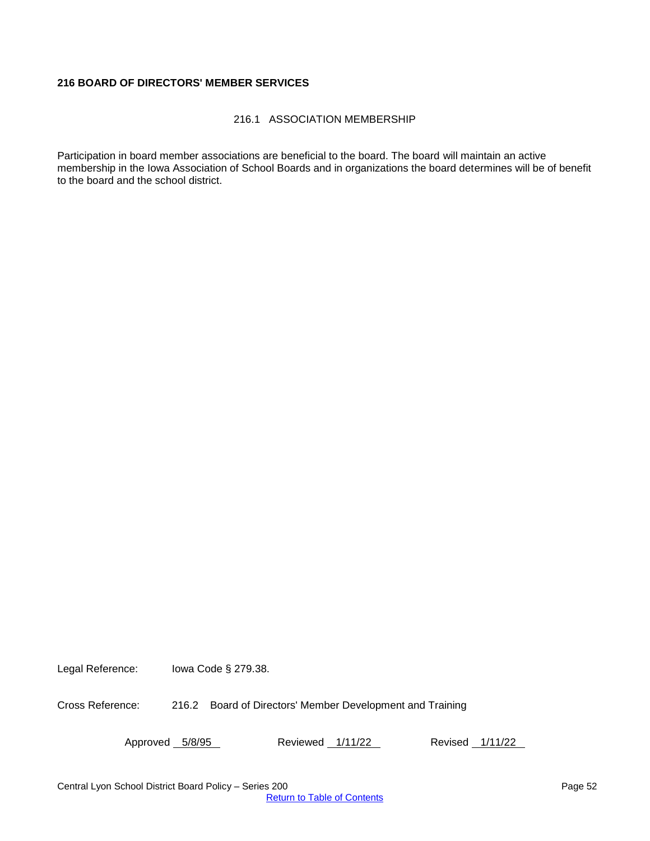## <span id="page-51-0"></span>**216 BOARD OF DIRECTORS' MEMBER SERVICES**

## 216.1 ASSOCIATION MEMBERSHIP

<span id="page-51-1"></span>Participation in board member associations are beneficial to the board. The board will maintain an active membership in the Iowa Association of School Boards and in organizations the board determines will be of benefit to the board and the school district.

Legal Reference: Iowa Code § 279.38.

Cross Reference: 216.2 Board of Directors' Member Development and Training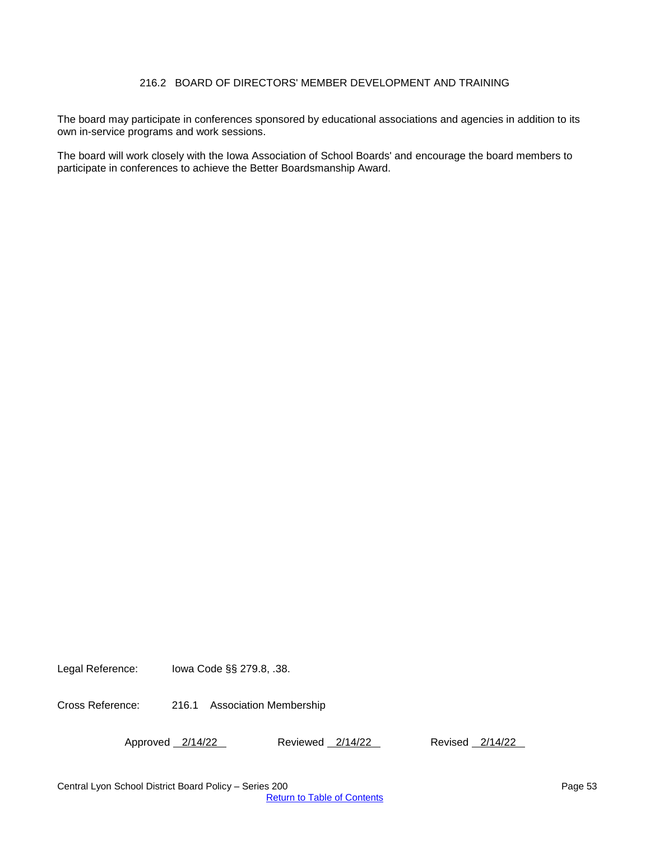## 216.2 BOARD OF DIRECTORS' MEMBER DEVELOPMENT AND TRAINING

<span id="page-52-0"></span>The board may participate in conferences sponsored by educational associations and agencies in addition to its own in-service programs and work sessions.

The board will work closely with the Iowa Association of School Boards' and encourage the board members to participate in conferences to achieve the Better Boardsmanship Award.

Legal Reference: Iowa Code §§ 279.8, .38.

Cross Reference: 216.1 Association Membership

Approved 2/14/22 Reviewed 2/14/22 Revised 2/14/22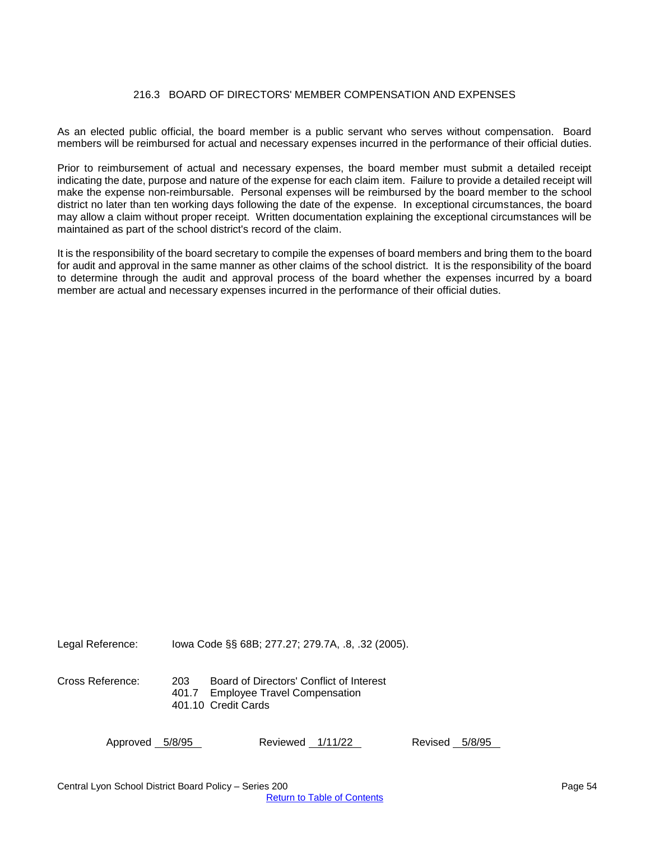#### 216.3 BOARD OF DIRECTORS' MEMBER COMPENSATION AND EXPENSES

<span id="page-53-0"></span>As an elected public official, the board member is a public servant who serves without compensation. Board members will be reimbursed for actual and necessary expenses incurred in the performance of their official duties.

Prior to reimbursement of actual and necessary expenses, the board member must submit a detailed receipt indicating the date, purpose and nature of the expense for each claim item. Failure to provide a detailed receipt will make the expense non-reimbursable. Personal expenses will be reimbursed by the board member to the school district no later than ten working days following the date of the expense. In exceptional circumstances, the board may allow a claim without proper receipt. Written documentation explaining the exceptional circumstances will be maintained as part of the school district's record of the claim.

It is the responsibility of the board secretary to compile the expenses of board members and bring them to the board for audit and approval in the same manner as other claims of the school district. It is the responsibility of the board to determine through the audit and approval process of the board whether the expenses incurred by a board member are actual and necessary expenses incurred in the performance of their official duties.

Legal Reference: Iowa Code §§ 68B; 277.27; 279.7A, .8, .32 (2005).

Cross Reference: 203 Board of Directors' Conflict of Interest 401.7 Employee Travel Compensation 401.10 Credit Cards

Approved 5/8/95 Reviewed 1/11/22 Revised 5/8/95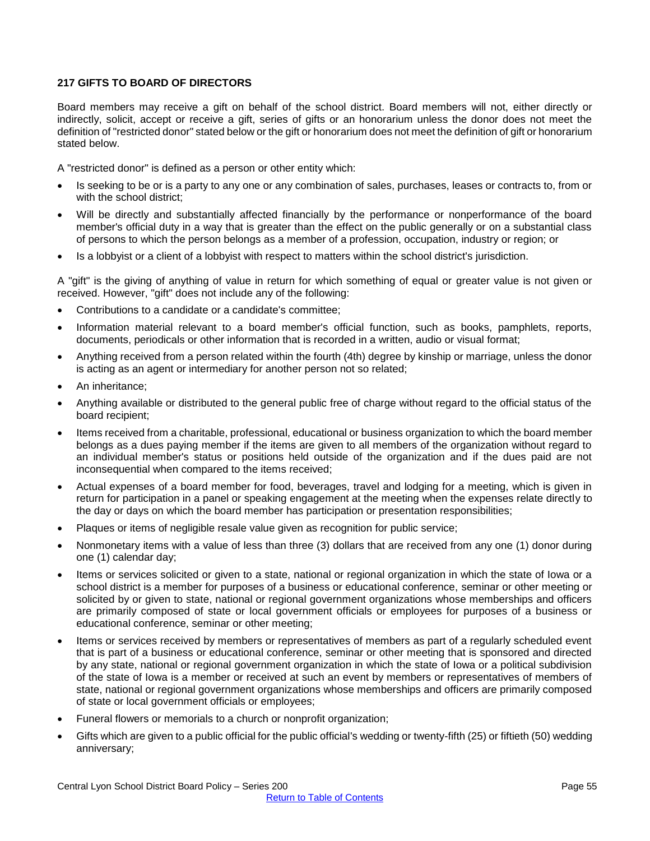#### <span id="page-54-0"></span>**217 GIFTS TO BOARD OF DIRECTORS**

Board members may receive a gift on behalf of the school district. Board members will not, either directly or indirectly, solicit, accept or receive a gift, series of gifts or an honorarium unless the donor does not meet the definition of "restricted donor" stated below or the gift or honorarium does not meet the definition of gift or honorarium stated below.

A "restricted donor" is defined as a person or other entity which:

- Is seeking to be or is a party to any one or any combination of sales, purchases, leases or contracts to, from or with the school district;
- Will be directly and substantially affected financially by the performance or nonperformance of the board member's official duty in a way that is greater than the effect on the public generally or on a substantial class of persons to which the person belongs as a member of a profession, occupation, industry or region; or
- Is a lobbyist or a client of a lobbyist with respect to matters within the school district's jurisdiction.

A "gift" is the giving of anything of value in return for which something of equal or greater value is not given or received. However, "gift" does not include any of the following:

- Contributions to a candidate or a candidate's committee;
- Information material relevant to a board member's official function, such as books, pamphlets, reports, documents, periodicals or other information that is recorded in a written, audio or visual format;
- Anything received from a person related within the fourth (4th) degree by kinship or marriage, unless the donor is acting as an agent or intermediary for another person not so related;
- An inheritance;
- Anything available or distributed to the general public free of charge without regard to the official status of the board recipient;
- Items received from a charitable, professional, educational or business organization to which the board member belongs as a dues paying member if the items are given to all members of the organization without regard to an individual member's status or positions held outside of the organization and if the dues paid are not inconsequential when compared to the items received;
- Actual expenses of a board member for food, beverages, travel and lodging for a meeting, which is given in return for participation in a panel or speaking engagement at the meeting when the expenses relate directly to the day or days on which the board member has participation or presentation responsibilities;
- Plaques or items of negligible resale value given as recognition for public service;
- Nonmonetary items with a value of less than three (3) dollars that are received from any one (1) donor during one (1) calendar day;
- Items or services solicited or given to a state, national or regional organization in which the state of Iowa or a school district is a member for purposes of a business or educational conference, seminar or other meeting or solicited by or given to state, national or regional government organizations whose memberships and officers are primarily composed of state or local government officials or employees for purposes of a business or educational conference, seminar or other meeting;
- Items or services received by members or representatives of members as part of a regularly scheduled event that is part of a business or educational conference, seminar or other meeting that is sponsored and directed by any state, national or regional government organization in which the state of Iowa or a political subdivision of the state of Iowa is a member or received at such an event by members or representatives of members of state, national or regional government organizations whose memberships and officers are primarily composed of state or local government officials or employees;
- Funeral flowers or memorials to a church or nonprofit organization;
- Gifts which are given to a public official for the public official's wedding or twenty-fifth (25) or fiftieth (50) wedding anniversary;